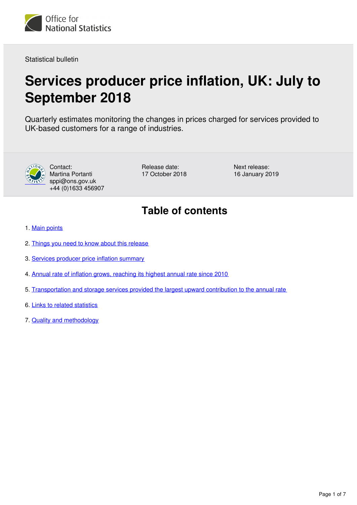<span id="page-0-0"></span>

Statistical bulletin

## **Services producer price inflation, UK: July to September 2018**

Quarterly estimates monitoring the changes in prices charged for services provided to UK-based customers for a range of industries.



Contact: Martina Portanti sppi@ons.gov.uk +44 (0)1633 456907 Release date: 17 October 2018 Next release: 16 January 2019

## **Table of contents**

- 1. [Main points](#page-1-0)
- 2. [Things you need to know about this release](#page-1-1)
- 3. [Services producer price inflation summary](#page-2-0)
- 4. [Annual rate of inflation grows, reaching its highest annual rate since 2010](#page-2-1)
- 5. [Transportation and storage services provided the largest upward contribution to the annual rate](#page-3-0)
- 6. [Links to related statistics](#page-5-0)
- 7. [Quality and methodology](#page-6-0)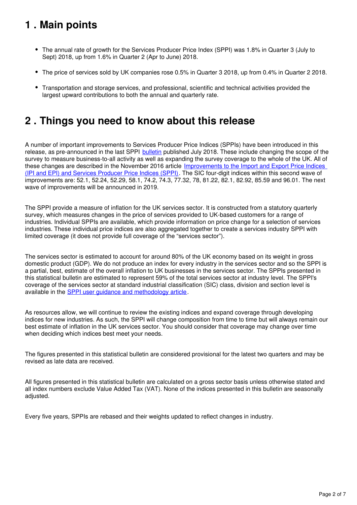## <span id="page-1-0"></span>**1 . Main points**

- The annual rate of growth for the Services Producer Price Index (SPPI) was 1.8% in Quarter 3 (July to Sept) 2018, up from 1.6% in Quarter 2 (Apr to June) 2018.
- The price of services sold by UK companies rose 0.5% in Quarter 3 2018, up from 0.4% in Quarter 2 2018.
- Transportation and storage services, and professional, scientific and technical activities provided the largest upward contributions to both the annual and quarterly rate.

## <span id="page-1-1"></span>**2 . Things you need to know about this release**

A number of important improvements to Services Producer Price Indices (SPPIs) have been introduced in this release, as pre-announced in the last SPPI [bulletin](https://www.ons.gov.uk/economy/inflationandpriceindices/bulletins/servicesproducerpriceindices/apriltojune2018) published July 2018. These include changing the scope of the survey to measure business-to-all activity as well as expanding the survey coverage to the whole of the UK. All of these changes are described in the November 2016 article Improvements to the Import and Export Price Indices [\(IPI and EPI\) and Services Producer Price Indices \(SPPI\)](https://www.ons.gov.uk/economy/inflationandpriceindices/articles/improvementstotheimportandexportpriceindicesipiandepiandservicesproducerpriceindicessppi/november2016). The SIC four-digit indices within this second wave of improvements are: 52.1, 52.24, 52.29, 58.1, 74.2, 74.3, 77.32, 78, 81.22, 82.1, 82.92, 85.59 and 96.01. The next wave of improvements will be announced in 2019.

The SPPI provide a measure of inflation for the UK services sector. It is constructed from a statutory quarterly survey, which measures changes in the price of services provided to UK-based customers for a range of industries. Individual SPPIs are available, which provide information on price change for a selection of services industries. These individual price indices are also aggregated together to create a services industry SPPI with limited coverage (it does not provide full coverage of the "services sector").

The services sector is estimated to account for around 80% of the UK economy based on its weight in gross domestic product (GDP). We do not produce an index for every industry in the services sector and so the SPPI is a partial, best, estimate of the overall inflation to UK businesses in the services sector. The SPPIs presented in this statistical bulletin are estimated to represent 59% of the total services sector at industry level. The SPPI's coverage of the services sector at standard industrial classification (SIC) class, division and section level is available in the **SPPI** user quidance and methodology article.

As resources allow, we will continue to review the existing indices and expand coverage through developing indices for new industries. As such, the SPPI will change composition from time to time but will always remain our best estimate of inflation in the UK services sector. You should consider that coverage may change over time when deciding which indices best meet your needs.

The figures presented in this statistical bulletin are considered provisional for the latest two quarters and may be revised as late data are received.

All figures presented in this statistical bulletin are calculated on a gross sector basis unless otherwise stated and all index numbers exclude Value Added Tax (VAT). None of the indices presented in this bulletin are seasonally adjusted.

Every five years, SPPIs are rebased and their weights updated to reflect changes in industry.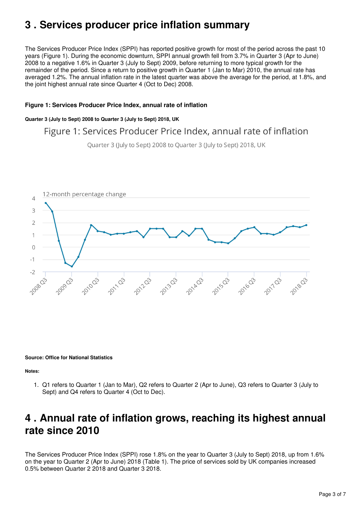## <span id="page-2-0"></span>**3 . Services producer price inflation summary**

The Services Producer Price Index (SPPI) has reported positive growth for most of the period across the past 10 years (Figure 1). During the economic downturn, SPPI annual growth fell from 3.7% in Quarter 3 (Apr to June) 2008 to a negative 1.6% in Quarter 3 (July to Sept) 2009, before returning to more typical growth for the remainder of the period. Since a return to positive growth in Quarter 1 (Jan to Mar) 2010, the annual rate has averaged 1.2%. The annual inflation rate in the latest quarter was above the average for the period, at 1.8%, and the joint highest annual rate since Quarter 4 (Oct to Dec) 2008.

#### **Figure 1: Services Producer Price Index, annual rate of inflation**

#### **Quarter 3 (July to Sept) 2008 to Quarter 3 (July to Sept) 2018, UK**

## Figure 1: Services Producer Price Index, annual rate of inflation

Quarter 3 (July to Sept) 2008 to Quarter 3 (July to Sept) 2018, UK



**Source: Office for National Statistics**

**Notes:**

1. Q1 refers to Quarter 1 (Jan to Mar), Q2 refers to Quarter 2 (Apr to June), Q3 refers to Quarter 3 (July to Sept) and Q4 refers to Quarter 4 (Oct to Dec).

## <span id="page-2-1"></span>**4 . Annual rate of inflation grows, reaching its highest annual rate since 2010**

The Services Producer Price Index (SPPI) rose 1.8% on the year to Quarter 3 (July to Sept) 2018, up from 1.6% on the year to Quarter 2 (Apr to June) 2018 (Table 1). The price of services sold by UK companies increased 0.5% between Quarter 2 2018 and Quarter 3 2018.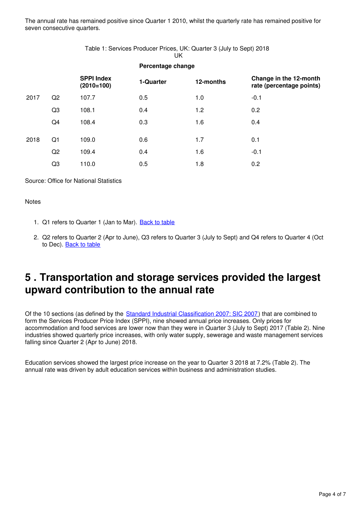The annual rate has remained positive since Quarter 1 2010, whilst the quarterly rate has remained positive for seven consecutive quarters.

#### Table 1: Services Producer Prices, UK: Quarter 3 (July to Sept) 2018 UK

|      |                |                                   | Percentage change |           |                                                    |  |  |
|------|----------------|-----------------------------------|-------------------|-----------|----------------------------------------------------|--|--|
|      |                | <b>SPPI Index</b><br>$(2010=100)$ | 1-Quarter         | 12-months | Change in the 12-month<br>rate (percentage points) |  |  |
| 2017 | Q2             | 107.7                             | 0.5               | 1.0       | $-0.1$                                             |  |  |
|      | Q3             | 108.1                             | 0.4               | 1.2       | 0.2                                                |  |  |
|      | Q4             | 108.4                             | 0.3               | 1.6       | 0.4                                                |  |  |
| 2018 | Q1             | 109.0                             | 0.6               | 1.7       | 0.1                                                |  |  |
|      | Q2             | 109.4                             | 0.4               | 1.6       | $-0.1$                                             |  |  |
|      | Q <sub>3</sub> | 110.0                             | 0.5               | 1.8       | 0.2                                                |  |  |

Source: Office for National Statistics

#### **Notes**

- 1. Q1 refers to Quarter 1 (Jan to Mar). **[Back to table](#page-0-0)**
- 2. Q2 refers to Quarter 2 (Apr to June), Q3 refers to Quarter 3 (July to Sept) and Q4 refers to Quarter 4 (Oct to Dec). [Back to table](#page-0-0)

### <span id="page-3-0"></span>**5 . Transportation and storage services provided the largest upward contribution to the annual rate**

Of the 10 sections (as defined by the [Standard Industrial Classification 2007: SIC 2007\)](https://www.ons.gov.uk/methodology/classificationsandstandards/ukstandardindustrialclassificationofeconomicactivities/uksic2007) that are combined to form the Services Producer Price Index (SPPI), nine showed annual price increases. Only prices for accommodation and food services are lower now than they were in Quarter 3 (July to Sept) 2017 (Table 2). Nine industries showed quarterly price increases, with only water supply, sewerage and waste management services falling since Quarter 2 (Apr to June) 2018.

Education services showed the largest price increase on the year to Quarter 3 2018 at 7.2% (Table 2). The annual rate was driven by adult education services within business and administration studies.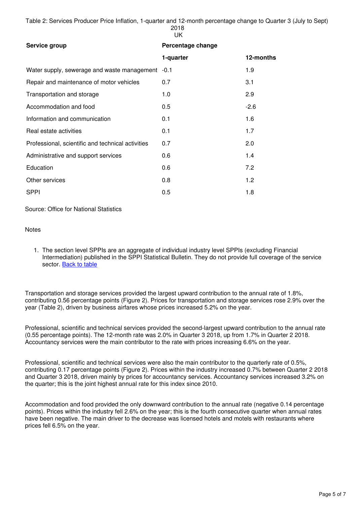Table 2: Services Producer Price Inflation, 1-quarter and 12-month percentage change to Quarter 3 (July to Sept) 2018 UK

| Service group                                     | Percentage change |           |  |  |
|---------------------------------------------------|-------------------|-----------|--|--|
|                                                   | 1-quarter         | 12-months |  |  |
| Water supply, sewerage and waste management -0.1  |                   | 1.9       |  |  |
| Repair and maintenance of motor vehicles          | 0.7               | 3.1       |  |  |
| Transportation and storage                        | 1.0               | 2.9       |  |  |
| Accommodation and food                            | $0.5^{\circ}$     | $-2.6$    |  |  |
| Information and communication                     | 0.1               | 1.6       |  |  |
| Real estate activities                            | 0.1               | 1.7       |  |  |
| Professional, scientific and technical activities | 0.7               | 2.0       |  |  |
| Administrative and support services               | 0.6               | 1.4       |  |  |
| Education                                         | 0.6               | 7.2       |  |  |
| Other services                                    | 0.8               | 1.2       |  |  |
| <b>SPPI</b>                                       | 0.5               | 1.8       |  |  |

Source: Office for National Statistics

#### **Notes**

1. The section level SPPIs are an aggregate of individual industry level SPPIs (excluding Financial Intermediation) published in the SPPI Statistical Bulletin. They do not provide full coverage of the service sector. [Back to table](#page-0-0)

Transportation and storage services provided the largest upward contribution to the annual rate of 1.8%, contributing 0.56 percentage points (Figure 2). Prices for transportation and storage services rose 2.9% over the year (Table 2), driven by business airfares whose prices increased 5.2% on the year.

Professional, scientific and technical services provided the second-largest upward contribution to the annual rate (0.55 percentage points). The 12-month rate was 2.0% in Quarter 3 2018, up from 1.7% in Quarter 2 2018. Accountancy services were the main contributor to the rate with prices increasing 6.6% on the year.

Professional, scientific and technical services were also the main contributor to the quarterly rate of 0.5%, contributing 0.17 percentage points (Figure 2). Prices within the industry increased 0.7% between Quarter 2 2018 and Quarter 3 2018, driven mainly by prices for accountancy services. Accountancy services increased 3.2% on the quarter; this is the joint highest annual rate for this index since 2010.

Accommodation and food provided the only downward contribution to the annual rate (negative 0.14 percentage points). Prices within the industry fell 2.6% on the year; this is the fourth consecutive quarter when annual rates have been negative. The main driver to the decrease was licensed hotels and motels with restaurants where prices fell 6.5% on the year.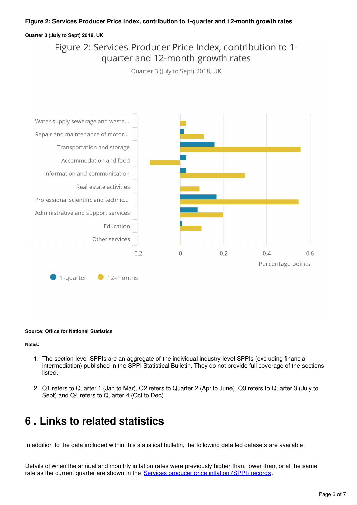#### **Figure 2: Services Producer Price Index, contribution to 1-quarter and 12-month growth rates**

#### **Quarter 3 (July to Sept) 2018, UK**

### Figure 2: Services Producer Price Index, contribution to 1quarter and 12-month growth rates

Quarter 3 (July to Sept) 2018, UK



#### **Source: Office for National Statistics**

**Notes:**

- 1. The section-level SPPIs are an aggregate of the individual industry-level SPPIs (excluding financial intermediation) published in the SPPI Statistical Bulletin. They do not provide full coverage of the sections listed.
- 2. Q1 refers to Quarter 1 (Jan to Mar), Q2 refers to Quarter 2 (Apr to June), Q3 refers to Quarter 3 (July to Sept) and Q4 refers to Quarter 4 (Oct to Dec).

### <span id="page-5-0"></span>**6 . Links to related statistics**

In addition to the data included within this statistical bulletin, the following detailed datasets are available.

Details of when the annual and monthly inflation rates were previously higher than, lower than, or at the same rate as the current quarter are shown in the [Services producer price inflation \(SPPI\) records.](https://www.ons.gov.uk/economy/inflationandpriceindices/datasets/servicesproducerpriceindexsppirecords)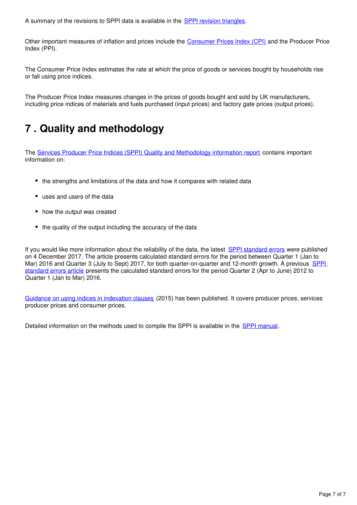A summary of the revisions to SPPI data is available in the **SPPI revision triangles**[.](https://www.ons.gov.uk/economy/inflationandpriceindices/datasets/servicesproducerpriceindexsppirevisionstriangle)

Other important measures of inflation and prices include the [Consumer Prices Index \(CPI\)](https://www.ons.gov.uk/economy/inflationandpriceindices/bulletins/consumerpriceinflation/previousReleases) and the Producer Price Index (PPI).

The Consumer Price Index estimates the rate at which the price of goods or services bought by households rise or fall using price indices.

The Producer Price Index measures changes in the prices of goods bought and sold by UK manufacturers, including price indices of materials and fuels purchased (input prices) and factory gate prices (output prices).

## <span id="page-6-0"></span>**7 . Quality and methodology**

The [Services Producer Price Indices \(SPPI\) Quality and Methodology information report](https://www.ons.gov.uk/economy/inflationandpriceindices/qmis/servicesproducerpriceindicesqmi) contains important information on:

- the strengths and limitations of the data and how it compares with related data
- uses and users of the data
- how the output was created
- the quality of the output including the accuracy of the data

If you would like more information about the reliability of the data, the latest [SPPI standard errors](https://www.ons.gov.uk/economy/inflationandpriceindices/articles/ukservicesproducerpriceindexsppistandarderrors/2016to2017) were published on 4 December 2017. The article presents calculated standard errors for the period between Quarter 1 (Jan to Mar) 2016 and Quarter 3 (July to Sept) 2017, for both quarter-on-quarter and 12-month growth. A previous SPPI [standard errors article](https://www.ons.gov.uk/releases/ukservicesproducerpriceindexsppi2012to2016) presents the calculated standard errors for the period Quarter 2 (Apr to June) 2012 to Quarter 1 (Jan to Mar) 2016.

[Guidance on using indices in indexation clauses](https://www.ons.gov.uk/economy/inflationandpriceindices/methodologies/pricesuserguidancemethodologyanddevelopments) (2015) has been published. It covers producer prices, services producer prices and consumer prices.

Detailed information on the methods used to compile the SPPI is available in the SPPI manual.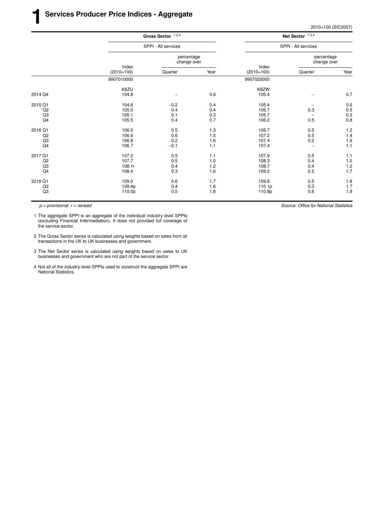|                |              | Gross Sector $1,2,4$<br>SPPI - All services |      |                       | Net Sector $1,3,4$<br>SPPI - All services |         |  |
|----------------|--------------|---------------------------------------------|------|-----------------------|-------------------------------------------|---------|--|
|                |              |                                             |      |                       |                                           |         |  |
|                | Index        | percentage<br>change over                   |      |                       | percentage<br>change over                 |         |  |
|                | $(2010=100)$ | Quarter                                     | Year | Index<br>$(2010=100)$ | Quarter                                   | Year    |  |
|                | 9907010000   |                                             |      | 9907020000            |                                           |         |  |
|                | K8ZU         |                                             |      | K8ZW                  |                                           |         |  |
| 2014 Q4        | 104.8        |                                             | 0.6  | 105.4                 | $\overline{\phantom{a}}$                  | 0.7     |  |
| 2015 Q1        | 104.6        | $-0.2$                                      | 0.4  | 105.4                 | $\overline{\phantom{0}}$                  | 0.6     |  |
| Q2             | 105.0        | 0.4                                         | 0.4  | 105.7                 | 0.3                                       | 0.5     |  |
| Q3             | 105.1        | 0.1                                         | 0.3  | 105.7                 |                                           | 0.3     |  |
| Q <sub>4</sub> | 105.5        | 0.4                                         | 0.7  | 106.2                 | 0.5                                       | 0.8     |  |
| 2016 Q1        | 106.0        | 0.5                                         | 1.3  | 106.7                 | 0.5                                       | 1.2     |  |
| Q2             | 106.6        | 0.6                                         | 1.5  | 107.2                 | 0.5                                       | 1.4     |  |
| Q3             | 106.8        | 0.2                                         | 1.6  | 107.4                 | 0.2                                       | $1.6$   |  |
| Q <sub>4</sub> | 106.7        | $-0.1$                                      | 1.1  | 107.4                 | $\overline{\phantom{0}}$                  | 1.1     |  |
| 2017 Q1        | 107.2        | 0.5                                         | 1.1  | 107.9                 | 0.5                                       | 1.1     |  |
| Q2             | 107.7        | 0.5                                         | 1.0  | 108.3                 | 0.4                                       | $1.0\,$ |  |
| Q <sub>3</sub> | 108.1r       | 0.4                                         | 1.2  | 108.7                 | 0.4                                       | $1.2$   |  |
| Q <sub>4</sub> | 108.4        | 0.3                                         | 1.6  | 109.2                 | 0.5                                       | 1.7     |  |
| 2018 Q1        | 109.0        | 0.6                                         | 1.7  | 109.8                 | 0.5                                       | 1.8     |  |
| Q2             | 109.4p       | 0.4                                         | 1.6  | 110.1p                | 0.3                                       | 1.7     |  |
| Q <sub>3</sub> | 110.0p       | 0.5                                         | 1.8  | 110.8p                | 0.6                                       | 1.9     |  |
|                |              |                                             |      |                       |                                           |         |  |

1 The aggregate SPPI is an aggregate of the individual industry level SPPIs (excluding Financial Intermediation). It does not provided full coverage of the service sector.

- 2 The Gross Sector series is calculated using weights based on sales from all transactions in the UK to UK businesses and government.
- 3 The Net Sector series is calculated using weights based on sales to UK businesses and government who are not part of the service sector.
- 4 Not all of the industry-level SPPIs used to construct the aggregate SPPI are National Statistics.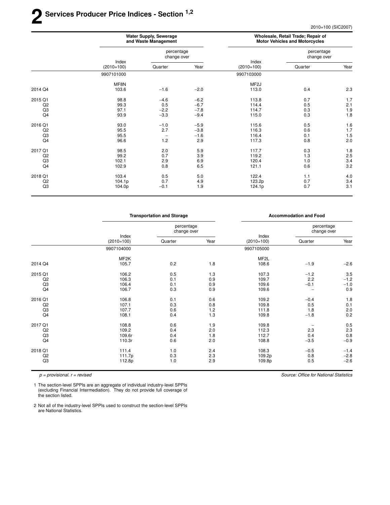## **2 Ser vices Producer Price Indices - Section 1,2**

2010=100 (SIC2007)

|                           | <b>Water Supply, Sewerage</b><br>and Waste Management |                                                  |                                   | Wholesale, Retail Trade; Repair of<br><b>Motor Vehicles and Motorcycles</b> |                           |                                 |
|---------------------------|-------------------------------------------------------|--------------------------------------------------|-----------------------------------|-----------------------------------------------------------------------------|---------------------------|---------------------------------|
|                           |                                                       | percentage<br>change over                        |                                   |                                                                             | percentage<br>change over |                                 |
|                           | Index<br>$(2010=100)$                                 | Quarter                                          | Year                              | Index<br>$(2010=100)$                                                       | Quarter                   | Year                            |
|                           | 9907101000                                            |                                                  |                                   | 9907103000                                                                  |                           |                                 |
| 2014 Q4                   | MF8N<br>103.6                                         | $-1.6$                                           | $-2.0$                            | MF <sub>2</sub> J<br>113.0                                                  | 0.4                       | 2.3                             |
| 2015 Q1<br>Q2<br>Q3       | 98.8<br>99.3<br>97.1                                  | $-4.6$<br>0.5<br>$-2.2$                          | $-6.2$<br>$-6.7$<br>$-7.8$        | 113.8<br>114.4<br>114.7                                                     | 0.7<br>0.5<br>0.3         | 1.7<br>2.1<br>1.9               |
| Q4                        | 93.9                                                  | $-3.3$                                           | $-9.4$                            | 115.0                                                                       | 0.3                       | 1.8                             |
| 2016 Q1<br>Q2<br>Q3<br>Q4 | 93.0<br>95.5<br>95.5<br>96.6                          | $-1.0$<br>2.7<br>$\overline{\phantom{0}}$<br>1.2 | $-5.9$<br>$-3.8$<br>$-1.6$<br>2.9 | 115.6<br>116.3<br>116.4<br>117.3                                            | 0.5<br>0.6<br>0.1<br>0.8  | 1.6<br>1.7<br>1.5<br>2.0        |
| 2017 Q1<br>Q2<br>Q3<br>Q4 | 98.5<br>99.2<br>102.1<br>102.9                        | 2.0<br>0.7<br>2.9<br>0.8                         | 5.9<br>3.9<br>6.9<br>6.5          | 117.7<br>119.2<br>120.4<br>121.1                                            | 0.3<br>1.3<br>1.0<br>0.6  | 1.8<br>$\frac{2.5}{3.4}$<br>3.2 |
| 2018 Q1<br>Q2<br>Q3       | 103.4<br>104.1p<br>104.0p                             | 0.5<br>0.7<br>$-0.1$                             | 5.0<br>4.9<br>1.9                 | 122.4<br>123.2p<br>124.1p                                                   | 1.1<br>0.7<br>0.7         | 4.0<br>3.4<br>3.1               |

|                |                       | <b>Transportation and Storage</b> |      | <b>Accommodation and Food</b> |                           |        |
|----------------|-----------------------|-----------------------------------|------|-------------------------------|---------------------------|--------|
|                |                       | percentage<br>change over         |      |                               | percentage<br>change over |        |
|                | Index<br>$(2010=100)$ | Quarter                           | Year | Index<br>$(2010=100)$         | Quarter                   | Year   |
|                | 9907104000            |                                   |      | 9907105000                    |                           |        |
|                | MF <sub>2</sub> K     |                                   |      | MF <sub>2</sub> L             |                           |        |
| 2014 Q4        | 105.7                 | 0.2                               | 1.8  | 108.6                         | $-1.9$                    | $-2.6$ |
| 2015 Q1        | 106.2                 | 0.5                               | 1.3  | 107.3                         | $-1.2$                    | 3.5    |
| Q2             | 106.3                 | 0.1                               | 0.9  | 109.7                         | 2.2                       | $-1.2$ |
| Q3             | 106.4                 | 0.1                               | 0.9  | 109.6                         | $-0.1$                    | $-1.0$ |
| Q <sub>4</sub> | 106.7                 | 0.3                               | 0.9  | 109.6                         | $\overline{\phantom{0}}$  | 0.9    |
| 2016 Q1        | 106.8                 | 0.1                               | 0.6  | 109.2                         | $-0.4$                    | 1.8    |
| Q <sub>2</sub> | 107.1                 | 0.3                               | 0.8  | 109.8                         | 0.5                       | 0.1    |
| Q3             | 107.7                 | 0.6                               | 1.2  | 111.8                         | 1.8                       | 2.0    |
| Q4             | 108.1                 | 0.4                               | 1.3  | 109.8                         | $-1.8$                    | 0.2    |
| 2017 Q1        | 108.8                 | 0.6                               | 1.9  | 109.8                         |                           | 0.5    |
| Q2             | 109.2                 | 0.4                               | 2.0  | 112.3                         | 2.3                       | 2.3    |
| Q <sub>3</sub> | 109.6r                | 0.4                               | 1.8  | 112.7                         | 0.4                       | 0.8    |
| Q4             | 110.3r                | 0.6                               | 2.0  | 108.8                         | $-3.5$                    | $-0.9$ |
| 2018 Q1        | 111.4                 | 1.0                               | 2.4  | 108.3                         | $-0.5$                    | $-1.4$ |
| Q2             | 111.7p                | 0.3                               | 2.3  | 109.2p                        | 0.8                       | $-2.8$ |
| Q3             | 112.8p                | 1.0                               | 2.9  | 109.8p                        | 0.5                       | $-2.6$ |
|                |                       |                                   |      |                               |                           |        |

 $p =$  provisional.  $r =$  revised

 $\equiv$ 

1 The section-level SPPIs are an aggregate of individual industry-level SPPIs (excluding Financial Intermediation). They do not provide full coverage of the section listed.

2 Not all of the industry-level SPPIs used to construct the section-level SPPIs are National Statistics.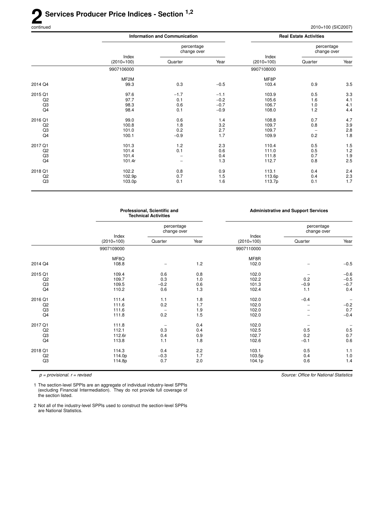### 2<sup>Se</sup> **Ser vices Producer Price Indices - Section 1,2**

|                |                       | <b>Information and Communication</b> |        |                       | <b>Real Estate Activities</b> |         |
|----------------|-----------------------|--------------------------------------|--------|-----------------------|-------------------------------|---------|
|                |                       | percentage<br>change over            |        |                       | percentage<br>change over     |         |
|                | Index<br>$(2010=100)$ | Quarter                              | Year   | Index<br>$(2010=100)$ | Quarter                       | Year    |
|                | 9907106000            |                                      |        | 9907108000            |                               |         |
|                | MF <sub>2</sub> M     |                                      |        | MF8P                  |                               |         |
| 2014 Q4        | 99.3                  | 0.3                                  | $-0.5$ | 103.4                 | 0.9                           | 3.5     |
| 2015 Q1        | 97.6                  | $-1.7$                               | $-1.1$ | 103.9                 | 0.5                           | 3.3     |
| Q <sub>2</sub> | 97.7                  | 0.1                                  | $-0.2$ | 105.6                 | 1.6                           | 4.1     |
| Q3             | 98.3                  | 0.6                                  | $-0.7$ | 106.7                 | 1.0                           | 4.1     |
| Q4             | 98.4                  | 0.1                                  | $-0.9$ | 108.0                 | 1.2                           | 4.4     |
| 2016 Q1        | 99.0                  | 0.6                                  | 1.4    | 108.8                 | 0.7                           | 4.7     |
| Q <sub>2</sub> | 100.8                 | 1.8                                  | 3.2    | 109.7                 | 0.8                           | $3.9\,$ |
| Q3             | 101.0                 | 0.2                                  | 2.7    | 109.7                 | $\overline{\phantom{m}}$      | $2.8\,$ |
| Q <sub>4</sub> | 100.1                 | $-0.9$                               | 1.7    | 109.9                 | 0.2                           | 1.8     |
| 2017 Q1        | 101.3                 | 1.2                                  | 2.3    | 110.4                 | 0.5                           | 1.5     |
| Q2             | 101.4                 | 0.1                                  | 0.6    | 111.0                 | 0.5                           | 1.2     |
| Q3             | 101.4                 |                                      | 0.4    | 111.8                 | 0.7                           | $1.9$   |
| Q <sub>4</sub> | 101.4r                |                                      | 1.3    | 112.7                 | 0.8                           | 2.5     |
| 2018 Q1        | 102.2                 | 0.8                                  | 0.9    | 113.1                 | 0.4                           | 2.4     |
| Q2             | 102.9p                | 0.7                                  | 1.5    | 113.6p                | 0.4                           | $2.3\,$ |
| Q <sub>3</sub> | 103.0p                | 0.1                                  | 1.6    | 113.7p                | 0.1                           | 1.7     |
|                |                       |                                      |        |                       |                               |         |

|                |                       | Professional, Scientific and<br><b>Technical Activities</b> |      | <b>Administrative and Support Services</b> |                           |         |
|----------------|-----------------------|-------------------------------------------------------------|------|--------------------------------------------|---------------------------|---------|
|                |                       | percentage<br>change over                                   |      |                                            | percentage<br>change over |         |
|                | Index<br>$(2010=100)$ | Quarter                                                     | Year | Index<br>$(2010=100)$                      | Quarter                   | Year    |
|                | 9907109000            |                                                             |      | 9907110000                                 |                           |         |
|                | MF8Q                  |                                                             |      | MF8R                                       |                           |         |
| 2014 Q4        | 108.8                 |                                                             | 1.2  | 102.0                                      |                           | $-0.5$  |
| 2015 Q1        | 109.4                 | 0.6                                                         | 0.8  | 102.0                                      |                           | $-0.6$  |
| Q <sub>2</sub> | 109.7                 | 0.3                                                         | 1.0  | 102.2                                      | 0.2                       | $-0.5$  |
| Q <sub>3</sub> | 109.5                 | $-0.2$                                                      | 0.6  | 101.3                                      | $-0.9$                    | $-0.7$  |
| Q4             | 110.2                 | 0.6                                                         | 1.3  | 102.4                                      | 1.1                       | 0.4     |
| 2016 Q1        | 111.4                 | 1.1                                                         | 1.8  | 102.0                                      | $-0.4$                    |         |
| Q <sub>2</sub> | 111.6                 | 0.2                                                         | 1.7  | 102.0                                      | -                         | $-0.2$  |
| Q <sub>3</sub> | 111.6                 |                                                             | 1.9  | 102.0                                      |                           | 0.7     |
| Q <sub>4</sub> | 111.8                 | 0.2                                                         | 1.5  | 102.0                                      |                           | $-0.4$  |
| 2017 Q1        | 111.8                 |                                                             | 0.4  | 102.0                                      |                           |         |
| Q2             | 112.1                 | 0.3                                                         | 0.4  | 102.5                                      | 0.5                       | $0.5\,$ |
| Q <sub>3</sub> | 112.6r                | 0.4                                                         | 0.9  | 102.7                                      | 0.2                       | 0.7     |
| Q <sub>4</sub> | 113.8                 | 1.1                                                         | 1.8  | 102.6                                      | $-0.1$                    | 0.6     |
| 2018 Q1        | 114.3                 | 0.4                                                         | 2.2  | 103.1                                      | 0.5                       | 1.1     |
| Q <sub>2</sub> | 114.0p                | $-0.3$                                                      | 1.7  | 103.5p                                     | 0.4                       | 1.0     |
| Q <sub>3</sub> | 114.8p                | 0.7                                                         | 2.0  | 104.1p                                     | 0.6                       | 1.4     |

 $p =$  provisional.  $r =$  revised

Source: Office for National Statistics

1 The section-level SPPIs are an aggregate of individual industry-level SPPIs (excluding Financial Intermediation). They do not provide full coverage of the section listed.

2 Not all of the industry-level SPPIs used to construct the section-level SPPIs are National Statistics.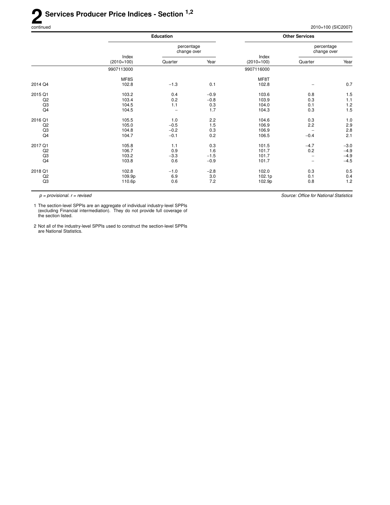Source: Office for National Statistics

|                                                   |                                  | <b>Education</b>                  |                                |                                  | <b>Other Services</b>     |                                      |
|---------------------------------------------------|----------------------------------|-----------------------------------|--------------------------------|----------------------------------|---------------------------|--------------------------------------|
|                                                   |                                  | percentage<br>change over         |                                |                                  | percentage<br>change over |                                      |
|                                                   | Index<br>$(2010=100)$            | Quarter                           | Year                           | Index<br>$(2010=100)$            | Quarter                   | Year                                 |
|                                                   | 9907113000                       |                                   |                                | 9907116000                       |                           |                                      |
| 2014 Q4                                           | MF8S<br>102.8                    | $-1.3$                            | 0.1                            | MF8T<br>102.8                    |                           | 0.7                                  |
| 2015 Q1<br>Q <sub>2</sub><br>Q <sub>3</sub><br>Q4 | 103.2<br>103.4<br>104.5<br>104.5 | 0.4<br>0.2<br>1.1                 | $-0.9$<br>$-0.8$<br>0.3<br>1.7 | 103.6<br>103.9<br>104.0<br>104.3 | 0.8<br>0.3<br>0.1<br>0.3  | 1.5<br>1.1<br>1.2<br>1.5             |
| 2016 Q1<br>Q <sub>2</sub><br>Q <sub>3</sub><br>Q4 | 105.5<br>105.0<br>104.8<br>104.7 | 1.0<br>$-0.5$<br>$-0.2$<br>$-0.1$ | 2.2<br>1.5<br>0.3<br>0.2       | 104.6<br>106.9<br>106.9<br>106.5 | 0.3<br>2.2<br>$-0.4$      | 1.0<br>2.9<br>2.8<br>2.1             |
| 2017 Q1<br>Q2<br>Q <sub>3</sub><br>Q4             | 105.8<br>106.7<br>103.2<br>103.8 | 1.1<br>0.9<br>$-3.3$<br>0.6       | 0.3<br>1.6<br>$-1.5$<br>$-0.9$ | 101.5<br>101.7<br>101.7<br>101.7 | $-4.7$<br>0.2             | $-3.0$<br>$-4.9$<br>$-4.9$<br>$-4.5$ |
| 2018 Q1<br>Q <sub>2</sub><br>Q <sub>3</sub>       | 102.8<br>109.9p<br>110.6p        | $-1.0$<br>6.9<br>0.6              | $-2.8$<br>3.0<br>7.2           | 102.0<br>102.1p<br>102.9p        | 0.3<br>0.1<br>0.8         | 0.5<br>0.4<br>$1.2$                  |

 $p =$  provisional.  $r =$  revised

1 The section-level SPPIs are an aggregate of individual industry-level SPPIs (excluding Financial intermediation). They do not provide full coverage of the section listed.

2 Not all of the industry-level SPPIs used to construct the section-level SPPIs are National Statistics.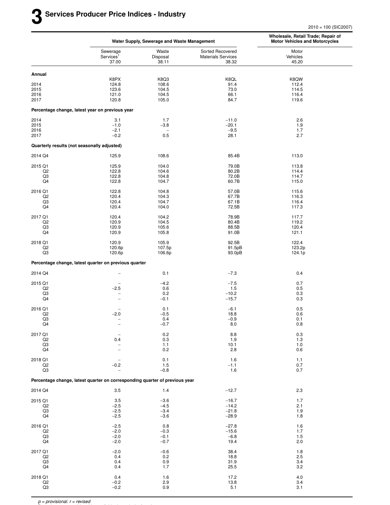|                           |                                                                             | Water Supply, Sewerage and Waste Management |                                                        | Wholesale, Retail Trade; Repair of<br><b>Motor Vehicles and Motorcycles</b> |
|---------------------------|-----------------------------------------------------------------------------|---------------------------------------------|--------------------------------------------------------|-----------------------------------------------------------------------------|
|                           | Sewerage<br>Services <sup>1</sup><br>37.00                                  | Waste<br>Disposal<br>38.11                  | Sorted Recovered<br><b>Materials Services</b><br>38.32 | Motor<br>Vehicles<br>45.20                                                  |
| Annual                    |                                                                             |                                             |                                                        |                                                                             |
|                           | K8PX                                                                        | K8Q3                                        | K8QL                                                   | K8QW                                                                        |
| 2014<br>2015              | 124.8<br>123.6                                                              | 108.6<br>104.5                              | 91.4<br>73.0                                           | 112.4<br>114.5                                                              |
| 2016                      | 121.0                                                                       | 104.5                                       | 66.1                                                   | 116.4                                                                       |
| 2017                      | 120.8                                                                       | 105.0                                       | 84.7                                                   | 119.6                                                                       |
|                           | Percentage change, latest year on previous year                             |                                             |                                                        |                                                                             |
| 2014                      | 3.1                                                                         | 1.7                                         | $-11.0$                                                | 2.6                                                                         |
| 2015                      | $-1.0$                                                                      | $-3.8$                                      | $-20.1$                                                | 1.9                                                                         |
| 2016<br>2017              | $-2.1$<br>$-0.2$                                                            | $\qquad \qquad -$<br>0.5                    | $-9.5$<br>28.1                                         | 1.7<br>2.7                                                                  |
|                           | Quarterly results (not seasonally adjusted)                                 |                                             |                                                        |                                                                             |
|                           |                                                                             |                                             |                                                        |                                                                             |
| 2014 Q4                   | 125.9                                                                       | 108.6                                       | 85.4B                                                  | 113.0                                                                       |
| 2015 Q1<br>Q2             | 125.9<br>122.8                                                              | 104.0<br>104.6                              | 79.0B<br>80.2B                                         | 113.8<br>114.4                                                              |
| Q3                        | 122.8                                                                       | 104.8                                       | 72.0B                                                  | 114.7                                                                       |
| Q4                        | 122.8                                                                       | 104.7                                       | 60.7B                                                  | 115.0                                                                       |
| 2016 Q1                   | 122.8                                                                       | 104.8                                       | 57.0B                                                  | 115.6                                                                       |
| Q <sub>2</sub>            | 120.4                                                                       | 104.3                                       | 67.7B                                                  | 116.3                                                                       |
| Q3                        | 120.4                                                                       | 104.7                                       | 67.1B                                                  | 116.4                                                                       |
| Q4                        | 120.4                                                                       | 104.0                                       | 72.5B                                                  | 117.3                                                                       |
| 2017 Q1                   | 120.4                                                                       | 104.2                                       | 78.9B                                                  | 117.7                                                                       |
| Q2<br>Q3                  | 120.9<br>120.9                                                              | 104.5<br>105.6                              | 80.4B<br>88.5B                                         | 119.2<br>120.4                                                              |
| Q4                        | 120.9                                                                       | 105.8                                       | 91.0B                                                  | 121.1                                                                       |
| 2018 Q1                   | 120.9                                                                       | 105.9                                       | 92.5B                                                  | 122.4                                                                       |
| Q2                        | 120.6p                                                                      | 107.5p                                      | 91.5pB                                                 | 123.2p                                                                      |
| Q3                        | 120.6p                                                                      | 106.6p                                      | 93.0pB                                                 | 124.1p                                                                      |
|                           | Percentage change, latest quarter on previous quarter                       |                                             |                                                        |                                                                             |
| 2014 Q4                   | $\overline{\phantom{a}}$                                                    | 0.1                                         | $-7.3$                                                 | 0.4                                                                         |
| 2015 Q1                   |                                                                             | $-4.2$                                      | $-7.5$                                                 | 0.7                                                                         |
| Q2                        | $-2.5$                                                                      | 0.6                                         | 1.5                                                    | 0.5                                                                         |
| Q3<br>Q4                  |                                                                             | 0.2<br>$-0.1$                               | $-10.2$<br>$-15.7$                                     | 0.3<br>0.3                                                                  |
|                           |                                                                             |                                             |                                                        |                                                                             |
| 2016 Q1<br>Q <sub>2</sub> | $-2.0$                                                                      | 0.1<br>$-0.5$                               | $-6.1$<br>18.8                                         | 0.5<br>0.6                                                                  |
| Q3                        | $\overline{\phantom{0}}$                                                    | 0.4                                         | $-0.9$                                                 | 0.1                                                                         |
| Q4                        |                                                                             | $-0.7$                                      | 8.0                                                    | 0.8                                                                         |
| 2017 Q1                   | $\overline{\phantom{0}}$                                                    | $0.2\,$                                     | $\bf 8.8$                                              | $0.3\,$                                                                     |
| Q2                        | 0.4                                                                         | 0.3                                         | 1.9                                                    | 1.3                                                                         |
| Q3                        | $\overline{\phantom{0}}$                                                    | $1.1$<br>0.2                                | 10.1<br>2.8                                            | 1.0                                                                         |
| Q4                        |                                                                             |                                             |                                                        | 0.6                                                                         |
| 2018 Q1                   |                                                                             | 0.1                                         | 1.6                                                    | 1.1                                                                         |
| Q2<br>Q3                  | $-0.2$<br>$\overline{\phantom{0}}$                                          | 1.5<br>$-0.8$                               | $-1.1$<br>1.6                                          | 0.7<br>0.7                                                                  |
|                           | Percentage change, latest quarter on corresponding quarter of previous year |                                             |                                                        |                                                                             |
|                           |                                                                             |                                             |                                                        |                                                                             |
| 2014 Q4                   | 3.5                                                                         | 1.4                                         | $-12.7$                                                | 2.3                                                                         |
| 2015 Q1                   | 3.5                                                                         | $-3.6$                                      | $-16.7$                                                | 1.7                                                                         |
| Q2<br>Q3                  | $-2.5$<br>$-2.5$                                                            | $-4.5$<br>$-3.4$                            | $-14.2$<br>$-21.8$                                     | 2.1<br>1.9                                                                  |
| Q4                        | $-2.5$                                                                      | $-3.6$                                      | $-28.9$                                                | 1.8                                                                         |
| 2016 Q1                   | $-2.5$                                                                      | $0.8\,$                                     | $-27.8$                                                | 1.6                                                                         |
| Q2                        | $-2.0$                                                                      | $-0.3$                                      | $-15.6$                                                | 1.7                                                                         |
| Q3                        | $-2.0$                                                                      | $-0.1$                                      | $-6.8$                                                 | 1.5                                                                         |
| Q4                        | $-2.0$                                                                      | $-0.7$                                      | 19.4                                                   | 2.0                                                                         |
| 2017 Q1                   | $-2.0$                                                                      | $-0.6$                                      | 38.4                                                   | 1.8                                                                         |
| Q <sub>2</sub><br>Q3      | 0.4                                                                         | 0.2                                         | 18.8<br>31.9                                           | 2.5<br>3.4                                                                  |
| Q4                        | 0.4<br>0.4                                                                  | 0.9<br>1.7                                  | 25.5                                                   | 3.2                                                                         |
|                           |                                                                             |                                             |                                                        |                                                                             |
| 2018 Q1<br>Q2             | 0.4<br>$-0.2$                                                               | 1.6<br>2.9                                  | 17.2<br>13.8                                           | 4.0<br>3.4                                                                  |
| Q3                        | $-0.2$                                                                      | 0.9                                         | 5.1                                                    | 3.1                                                                         |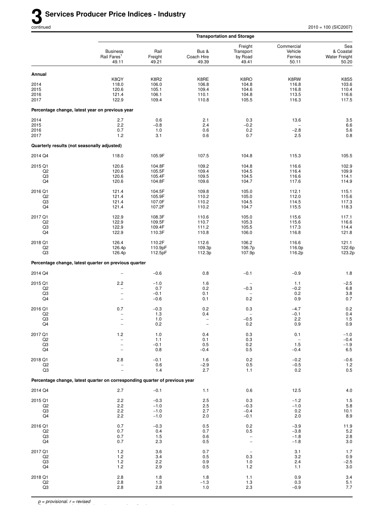|                                             |                                                                                           |                                          |                                          | <b>Transportation and Storage</b>             |                                           |                                                                |
|---------------------------------------------|-------------------------------------------------------------------------------------------|------------------------------------------|------------------------------------------|-----------------------------------------------|-------------------------------------------|----------------------------------------------------------------|
|                                             | <b>Business</b><br>Rail Fares <sup>1</sup><br>49.11                                       | Rail<br>Freight<br>49.21                 | Bus &<br>Coach Hire<br>49.39             | Freight<br>Transport<br>by Road<br>49.41      | Commercial<br>Vehicle<br>Ferries<br>50.11 | Sea<br>& Coastal<br><b>Water Freight</b><br>50.20              |
| Annual                                      |                                                                                           |                                          |                                          |                                               |                                           |                                                                |
| 2014<br>2015<br>2016<br>2017                | K8QY<br>118.0<br>120.6<br>121.4<br>122.9                                                  | K8R2<br>106.0<br>105.1<br>106.1<br>109.4 | K8RE<br>106.8<br>109.4<br>110.1<br>110.8 | K8RO<br>104.8<br>104.6<br>104.8<br>105.5      | K8RW<br>116.8<br>116.8<br>113.5<br>116.3  | <b>K8S5</b><br>103.6<br>110.4<br>116.6<br>117.5                |
|                                             | Percentage change, latest year on previous year                                           |                                          |                                          |                                               |                                           |                                                                |
| 2014<br>2015<br>2016<br>2017                | 2.7<br>2.2<br>0.7<br>1.2                                                                  | 0.6<br>$-0.8$<br>1.0<br>3.1              | 2.1<br>2.4<br>0.6<br>0.6                 | 0.3<br>$-0.2$<br>0.2<br>0.7                   | 13.6<br>$-2.8$<br>2.5                     | $3.5\,$<br>$6.6\,$<br>5.6<br>0.8                               |
| Quarterly results (not seasonally adjusted) |                                                                                           |                                          |                                          |                                               |                                           |                                                                |
| 2014 Q4                                     | 118.0                                                                                     | 105.9F                                   | 107.5                                    | 104.8                                         | 115.3                                     | 105.5                                                          |
| 2015 Q1<br>Q2<br>Q3<br>Q4                   | 120.6<br>120.6<br>120.6<br>120.6                                                          | 104.8F<br>105.5F<br>105.4F<br>104.8F     | 109.2<br>109.4<br>109.5<br>109.6         | 104.8<br>104.5<br>104.5<br>104.7              | 116.6<br>116.4<br>116.6<br>117.6          | 102.9<br>109.9<br>114.1<br>114.9                               |
| 2016 Q1<br>Q2<br>Q3<br>Q4                   | 121.4<br>121.4<br>121.4<br>121.4                                                          | 104.5F<br>105.9F<br>107.0F<br>107.2F     | 109.8<br>110.2<br>110.2<br>110.2         | 105.0<br>105.0<br>104.5<br>104.7              | 112.1<br>112.0<br>114.5<br>115.5          | 115.1<br>115.6<br>117.3<br>118.3                               |
| 2017 Q1<br>Q <sub>2</sub><br>Q3<br>Q4       | 122.9<br>122.9<br>122.9<br>122.9                                                          | 108.3F<br>109.5F<br>109.4F<br>110.3F     | 110.6<br>110.7<br>111.2<br>110.8         | 105.0<br>105.3<br>105.5<br>106.0              | 115.6<br>115.6<br>117.3<br>116.8          | 117.1<br>116.6<br>114.4<br>121.8                               |
| 2018 Q1<br>Q2<br>Q3                         | 126.4<br>126.4p<br>126.4p                                                                 | 110.2F<br>110.9pF<br>112.5pF             | 112.6<br>109.3p<br>112.3p                | 106.2<br>106.7p<br>107.9p                     | 116.6<br>116.0p<br>116.2p                 | 121.1<br>122.6p<br>123.2p                                      |
|                                             | Percentage change, latest quarter on previous quarter                                     |                                          |                                          |                                               |                                           |                                                                |
| 2014 Q4                                     | $\overline{\phantom{0}}$                                                                  | $-0.6$                                   | 0.8                                      | $-0.1$                                        | $-0.9$                                    | 1.8                                                            |
| 2015 Q1<br>Q <sub>2</sub><br>Q3<br>Q4       | 2.2<br>$\overline{\phantom{0}}$<br>$\qquad \qquad -$<br>$\qquad \qquad -$                 | $-1.0$<br>0.7<br>$-0.1$<br>$-0.6$        | 1.6<br>0.2<br>0.1<br>0.1                 | $-0.3$<br>0.2                                 | 1.1<br>$-0.2$<br>0.2<br>0.9               | $-2.5$<br>$6.8\,$<br>$\begin{array}{c} 3.8 \\ 0.7 \end{array}$ |
| 2016 Q1<br>Q <sub>2</sub><br>Q3<br>Q4       | 0.7<br>$\overline{a}$<br>$\overline{\phantom{0}}$                                         | $-0.3$<br>1.3<br>$1.0$<br>0.2            | 0.2<br>0.4                               | 0.3<br>$-0.5$<br>0.2                          | $-4.7$<br>$-0.1$<br>2.2<br>0.9            | 0.2<br>0.4<br>$1.5\,$<br>0.9                                   |
| 2017 Q1<br>Q2<br>Q3<br>Q4                   | $1.2$<br>$\overline{\phantom{0}}$<br>$\overline{\phantom{0}}$<br>$\overline{\phantom{0}}$ | 1.0<br>1.1<br>$-0.1$<br>0.8              | 0.4<br>0.1<br>0.5<br>$-0.4$              | $0.3\,$<br>0.3<br>0.2<br>0.5                  | 0.1<br>$\overline{a}$<br>1.5<br>$-0.4$    | $-1.0$<br>$-0.4$<br>$-1.9$<br>6.5                              |
| 2018 Q1<br>Q2<br>Q3                         | 2.8<br>$\overline{\phantom{0}}$                                                           | $-0.1$<br>0.6<br>1.4                     | 1.6<br>$-2.9$<br>2.7                     | 0.2<br>0.5<br>1.1                             | $-0.2$<br>$-0.5$<br>0.2                   | $-0.6$<br>$1.2$<br>0.5                                         |
|                                             | Percentage change, latest quarter on corresponding quarter of previous year               |                                          |                                          |                                               |                                           |                                                                |
| 2014 Q4                                     | 2.7                                                                                       | $-0.1$                                   | $1.1$                                    | $0.6\,$                                       | 12.5                                      | $4.0$                                                          |
| 2015 Q1<br>Q2<br>Q3<br>Q4                   | 2.2<br>2.2<br>2.2<br>2.2                                                                  | $-0.3$<br>$-1.0$<br>$-1.0$<br>$-1.0$     | 2.5<br>2.5<br>2.7<br>2.0                 | 0.3<br>$-0.3$<br>$-0.4$<br>$-0.1$             | $-1.2$<br>$-1.0$<br>0.2<br>2.0            | $1.5\,$<br>5.8<br>10.1<br>8.9                                  |
| 2016 Q1<br>Q2<br>Q3<br>Q4                   | 0.7<br>0.7<br>0.7<br>0.7                                                                  | $-0.3$<br>0.4<br>1.5<br>2.3              | 0.5<br>0.7<br>0.6<br>0.5                 | 0.2<br>0.5<br>-<br>$\overline{\phantom{0}}$   | $-3.9$<br>$-3.8$<br>$-1.8$<br>$-1.8$      | 11.9<br>5.2<br>2.8<br>3.0                                      |
| 2017 Q1<br>Q2<br>Q3<br>Q4                   | 1.2<br>1.2<br>1.2<br>$1.2$                                                                | 3.6<br>3.4<br>2.2<br>2.9                 | 0.7<br>0.5<br>0.9<br>0.5                 | $\overline{\phantom{m}}$<br>0.3<br>1.0<br>1.2 | 3.1<br>3.2<br>2.4<br>1.1                  | 1.7<br>$0.9\,$<br>$-2.5$<br>$3.0\,$                            |
| 2018 Q1<br>$_{\mathsf{Q2}}$<br>Q3           | 2.8<br>2.8<br>2.8                                                                         | 1.8<br>1.3<br>2.8                        | 1.8<br>$-1.3$<br>1.0                     | $1.1$<br>1.3<br>2.3                           | 0.9<br>0.3<br>$-0.9$                      | 3.4<br>5.1<br>$7.7\,$                                          |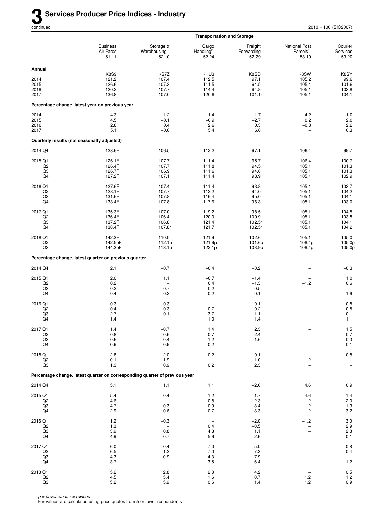|                                             |                                                       |                                                                             | <b>Transportation and Storage</b>       |                                |                                                       |                              |
|---------------------------------------------|-------------------------------------------------------|-----------------------------------------------------------------------------|-----------------------------------------|--------------------------------|-------------------------------------------------------|------------------------------|
|                                             | <b>Business</b><br>Air Fares<br>51.11                 | Storage &<br>Warehousing <sup>2</sup><br>52.10                              | Cargo<br>Handling <sup>2</sup><br>52.24 | Freight<br>Forwarding<br>52.29 | <b>National Post</b><br>Parcels <sup>1</sup><br>53.10 | Courier<br>Services<br>53.20 |
| Annual                                      |                                                       |                                                                             |                                         |                                |                                                       |                              |
|                                             | <b>K8S9</b>                                           | KS7Z                                                                        | KHU3                                    | K8SD                           | K8SW                                                  | K8SY                         |
| 2014<br>2015                                | 121.2<br>126.6                                        | 107.4<br>107.3                                                              | 112.5<br>111.5                          | 97.1<br>94.5                   | 105.2<br>105.4                                        | 99.6<br>101.6                |
| 2016                                        | 130.2                                                 | 107.7                                                                       | 114.4                                   | 94.8                           | 105.1                                                 | 103.8                        |
| 2017                                        | 136.8                                                 | 107.0                                                                       | 120.6                                   | 101.1r                         | 105.1                                                 | 104.1                        |
|                                             | Percentage change, latest year on previous year       |                                                                             |                                         |                                |                                                       |                              |
| 2014                                        | 4.3                                                   | $-1.2$                                                                      | 1.4                                     | $-1.7$                         | 4.2                                                   | 1.0                          |
| 2015                                        | $4.5\,$                                               | $-0.1$                                                                      | $-0.9$                                  | $-2.7$                         | 0.2                                                   | $2.0\,$                      |
| 2016<br>2017                                | 2.8<br>5.1                                            | 0.4<br>$-0.6$                                                               | 2.6<br>5.4                              | 0.3<br>6.6                     | $-0.3$<br>$\overline{\phantom{0}}$                    | 2.2<br>0.3                   |
| Quarterly results (not seasonally adjusted) |                                                       |                                                                             |                                         |                                |                                                       |                              |
| 2014 Q4                                     | 123.6F                                                | 106.5                                                                       | 112.2                                   | 97.1                           | 106.4                                                 | 99.7                         |
|                                             |                                                       |                                                                             |                                         |                                |                                                       |                              |
| 2015 Q1<br>Q2                               | 126.1F<br>126.4F                                      | 107.7<br>107.7                                                              | 111.4<br>111.8                          | 95.7<br>94.5                   | 106.4<br>105.1                                        | 100.7<br>101.3               |
| Q3                                          | 126.7F                                                | 106.9                                                                       | 111.6                                   | 94.0                           | 105.1                                                 | 101.3                        |
| Q4                                          | 127.2F                                                | 107.1                                                                       | 111.4                                   | 93.9                           | 105.1                                                 | 102.9                        |
| 2016 Q1                                     | 127.6F                                                | 107.4                                                                       | 111.4                                   | 93.8                           | 105.1                                                 | 103.7                        |
| Q <sub>2</sub><br>Q3                        | 128.1F<br>131.6F                                      | 107.7<br>107.8                                                              | 112.2<br>116.4                          | 94.0<br>95.0                   | 105.1<br>105.1                                        | 104.2<br>104.1               |
| Q4                                          | 133.4F                                                | 107.8                                                                       | 117.6                                   | 96.3                           | 105.1                                                 | 103.0                        |
| 2017 Q1                                     | 135.3F                                                | 107.0                                                                       | 119.2                                   | 98.5                           | 105.1                                                 | 104.5                        |
| Q <sub>2</sub>                              | 136.4F                                                | 106.4                                                                       | 120.0                                   | 100.9                          | 105.1                                                 | 103.8                        |
| Q3<br>Q4                                    | 137.2F<br>138.4F                                      | 106.8<br>107.8r                                                             | 121.4<br>121.7                          | 102.5r<br>102.5r               | 105.1<br>105.1                                        | 104.1<br>104.2               |
| 2018 Q1                                     | 142.3F                                                | 110.0                                                                       | 121.9                                   | 102.6                          | 105.1                                                 | 105.0                        |
| Q2                                          | 142.5pF                                               | 112.1p                                                                      | 121.9p                                  | 101.6p                         | 106.4p                                                | 105.0p                       |
| Q3                                          | 144.3pF                                               | 113.1p                                                                      | 122.1p                                  | 103.9p                         | 106.4p                                                | 105.0p                       |
|                                             | Percentage change, latest quarter on previous quarter |                                                                             |                                         |                                |                                                       |                              |
| 2014 Q4                                     | 2.1                                                   | $-0.7$                                                                      | $-0.4$                                  | $-0.2$                         |                                                       | $-0.3$                       |
| 2015 Q1                                     | 2.0                                                   | 1.1                                                                         | $-0.7$                                  | $-1.4$                         | $\overline{\phantom{0}}$                              | $1.0$                        |
| Q <sub>2</sub><br>Q3                        | 0.2<br>0.2                                            | $-0.7$                                                                      | 0.4<br>$-0.2$                           | $-1.3$<br>$-0.5$               | $-1.2$<br>$\qquad \qquad -$                           | 0.6<br>$\qquad \qquad -$     |
| Q4                                          | 0.4                                                   | 0.2                                                                         | $-0.2$                                  | $-0.1$                         | $\overline{\phantom{0}}$                              | 1.6                          |
| 2016 Q1                                     | 0.3                                                   | 0.3                                                                         | $\overline{\phantom{a}}$                | $-0.1$                         |                                                       | 0.8                          |
| Q <sub>2</sub>                              | 0.4                                                   | 0.3                                                                         | 0.7                                     | 0.2                            | $\overline{\phantom{0}}$                              | 0.5                          |
| Q3                                          | 2.7                                                   | 0.1                                                                         | 3.7                                     | 1.1                            | $\overline{\phantom{0}}$                              | $-0.1$                       |
| Q4                                          | 1.4                                                   |                                                                             | $1.0$                                   | 1.4                            |                                                       | $-1.1$                       |
| 2017 Q1<br>Q2                               | 1.4<br>$0.8\,$                                        | $-0.7$<br>$-0.6$                                                            | 1.4<br>0.7                              | 2.3<br>2.4                     |                                                       | $1.5$<br>$-0.7$              |
| Q3                                          | 0.6                                                   | 0.4                                                                         | 1.2                                     | 1.6                            |                                                       | $0.3\,$                      |
| Q4                                          | 0.9                                                   | 0.9                                                                         | 0.2                                     | $\overline{\phantom{a}}$       |                                                       | 0.1                          |
| 2018 Q1                                     | 2.8                                                   | 2.0                                                                         | 0.2                                     | 0.1                            | $\qquad \qquad -$                                     | $0.8\,$                      |
| Q2<br>Q3                                    | 0.1<br>1.3                                            | 1.9<br>0.9                                                                  | 0.2                                     | $-1.0$<br>2.3                  | 1.2                                                   | $\bar{a}$                    |
|                                             |                                                       | Percentage change, latest quarter on corresponding quarter of previous year |                                         |                                |                                                       |                              |
| 2014 Q4                                     | 5.1                                                   | 1.1                                                                         | 1.1                                     | $-2.0$                         | 4.6                                                   | 0.9                          |
| 2015 Q1                                     | 5.4                                                   | $-0.4$                                                                      | $-1.2$                                  | $-1.7$                         | 4.6                                                   | 1.4                          |
| Q2                                          | 4.6                                                   |                                                                             | $-0.8$                                  | $-2.3$                         | $-1.2$                                                | $2.0\,$                      |
| Q3                                          | 4.7                                                   | $-0.3$                                                                      | $-0.9$                                  | $-3.4$                         | $-1.2$                                                | $1.3$                        |
| Q4                                          | 2.9                                                   | 0.6                                                                         | $-0.7$                                  | $-3.3$                         | $-1.2$                                                | 3.2                          |
| 2016 Q1                                     | 1.2                                                   | $-0.3$                                                                      | $\qquad \qquad -$                       | $-2.0$                         | $-1.2$                                                | $3.0\,$                      |
| Q2<br>Q3                                    | 1.3<br>3.9                                            | $\overline{\phantom{a}}$<br>0.8                                             | 0.4<br>4.3                              | $-0.5$<br>1.1                  | $\overline{\phantom{0}}$<br>-                         | 2.9<br>$2.8\,$               |
| Q4                                          | 4.9                                                   | 0.7                                                                         | 5.6                                     | 2.6                            |                                                       | 0.1                          |
| 2017 Q1                                     | 6.0                                                   | $-0.4$                                                                      | $7.0$                                   | 5.0                            |                                                       | $0.8\,$                      |
| Q <sub>2</sub>                              | 6.5                                                   | $-1.2$                                                                      | 7.0                                     | 7.3                            |                                                       | $-0.4$                       |
| Q3<br>Q4                                    | 4.3<br>3.7                                            | $-0.9$<br>$\overline{\phantom{m}}$                                          | 4.3<br>3.5                              | 7.9<br>6.4                     |                                                       | $\qquad \qquad -$<br>1.2     |
|                                             |                                                       |                                                                             |                                         |                                |                                                       |                              |
| 2018 Q1<br>Q2                               | $5.2\,$<br>4.5                                        | 2.8<br>5.4                                                                  | 2.3<br>1.6                              | 4.2<br>0.7                     | 1.2                                                   | $0.5\,$<br>$1.2$             |
| Q3                                          | 5.2                                                   | 5.9                                                                         | 0.6                                     | 1.4                            | $1.2$                                                 | $0.9\,$                      |
|                                             |                                                       |                                                                             |                                         |                                |                                                       |                              |

F = values are calculated using price quotes from 5 or fewer respondents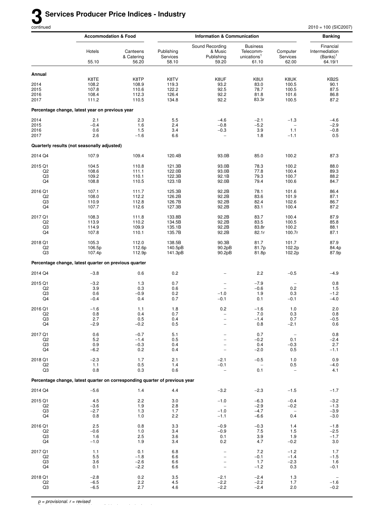|                                       | <b>Accommodation &amp; Food</b>                                             |                                          |                                          | <b>Information &amp; Communication</b>                                   |                                                                  |                                                     | <b>Banking</b>                                        |  |
|---------------------------------------|-----------------------------------------------------------------------------|------------------------------------------|------------------------------------------|--------------------------------------------------------------------------|------------------------------------------------------------------|-----------------------------------------------------|-------------------------------------------------------|--|
|                                       | Hotels<br>55.10                                                             | Canteens<br>& Catering<br>56.20          | Publishing<br>Services<br>58.10          | Sound Recording<br>& Music<br>Publishing<br>59.20                        | <b>Business</b><br>Telecomm-<br>unications <sup>1</sup><br>61.10 | Computer<br>Services<br>62.00                       | Financial<br>Intermediation<br>$(Banks)^T$<br>64.19/1 |  |
| Annual                                |                                                                             |                                          |                                          |                                                                          |                                                                  |                                                     |                                                       |  |
| 2014<br>2015<br>2016<br>2017          | K8TE<br>108.2<br>107.8<br>108.4<br>111.2                                    | K8TP<br>108.9<br>110.6<br>112.3<br>110.5 | K8TV<br>119.3<br>122.2<br>126.4<br>134.8 | K8UF<br>93.2<br>92.5<br>92.2<br>92.2                                     | K8UI<br>83.0<br>78.7<br>81.8<br>83.3r                            | K8UK<br>100.5<br>100.5<br>101.6<br>100.5            | KB <sub>2</sub> S<br>90.1<br>87.5<br>86.8<br>87.2     |  |
|                                       | Percentage change, latest year on previous year                             |                                          |                                          |                                                                          |                                                                  |                                                     |                                                       |  |
| 2014<br>2015<br>2016<br>2017          | 2.1<br>$-0.4$<br>0.6<br>2.6                                                 | 2.3<br>1.6<br>1.5<br>$-1.6$              | 5.5<br>2.4<br>3.4<br>6.6                 | $-4.6$<br>$-0.8$<br>$-0.3$                                               | $-2.1$<br>$-5.2$<br>3.9<br>1.8                                   | $-1.3$<br>$\overline{\phantom{0}}$<br>1.1<br>$-1.1$ | $-4.6$<br>$-2.9$<br>$-0.8$<br>0.5                     |  |
|                                       | Quarterly results (not seasonally adjusted)                                 |                                          |                                          |                                                                          |                                                                  |                                                     |                                                       |  |
| 2014 Q4                               | 107.9                                                                       | 109.4                                    | 120.4B                                   | 93.0B                                                                    | 85.0                                                             | 100.2                                               | 87.3                                                  |  |
| 2015 Q1<br>Q <sub>2</sub><br>Q3<br>Q4 | 104.5<br>108.6<br>109.2<br>108.8                                            | 110.8<br>111.1<br>110.1<br>110.5         | 121.3B<br>122.0B<br>122.3B<br>123.1B     | 93.0B<br>93.0B<br>92.1B<br>92.0B                                         | 78.3<br>77.8<br>79.3<br>79.4                                     | 100.2<br>100.4<br>100.7<br>100.6                    | 88.0<br>89.3<br>88.2<br>84.7                          |  |
| 2016 Q1<br>Q <sub>2</sub><br>Q3<br>Q4 | 107.1<br>108.0<br>110.9<br>107.7                                            | 111.7<br>112.2<br>112.8<br>112.6         | 125.3B<br>126.2B<br>126.7B<br>127.3B     | 92.2B<br>92.2B<br>92.2B<br>92.2B                                         | 78.1<br>83.6<br>82.4<br>83.1                                     | 101.6<br>101.9<br>102.6<br>100.4                    | 86.4<br>87.1<br>86.7<br>87.2                          |  |
| 2017 Q1<br>Q <sub>2</sub><br>Q3<br>Q4 | 108.3<br>113.9<br>114.9<br>107.8                                            | 111.8<br>110.2<br>109.9<br>110.1         | 133.8B<br>134.5B<br>135.1B<br>135.7B     | 92.2B<br>92.2B<br>92.2B<br>92.2B                                         | 83.7<br>83.5<br>83.8r<br>82.1r                                   | 100.4<br>100.5<br>100.2<br>100.7r                   | 87.9<br>85.8<br>88.1<br>87.1                          |  |
| 2018 Q1<br>Q <sub>2</sub><br>Q3       | 105.3<br>106.5p<br>107.4p                                                   | 112.0<br>112.6p<br>112.9p                | 138.5B<br>140.5pB<br>141.3pB             | 90.3B<br>90.2pB<br>90.2pB                                                | 81.7<br>81.7p<br>81.8p                                           | 101.7<br>102.2p<br>102.2p                           | 87.9<br>84.4p<br>87.9p                                |  |
|                                       | Percentage change, latest quarter on previous quarter                       |                                          |                                          |                                                                          |                                                                  |                                                     |                                                       |  |
| 2014 Q4                               | $-3.8$                                                                      | 0.6                                      | 0.2                                      |                                                                          | 2.2                                                              | $-0.5$                                              | $-4.9$                                                |  |
| 2015 Q1<br>Q <sub>2</sub><br>Q3<br>Q4 | $-3.2$<br>3.9<br>0.6<br>$-0.4$                                              | 1.3<br>0.3<br>$-0.9$<br>0.4              | 0.7<br>0.6<br>0.2<br>0.7                 | $\overline{\phantom{0}}$<br>$\overline{\phantom{0}}$<br>$-1.0$<br>$-0.1$ | $-7.9$<br>$-0.6$<br>1.9<br>0.1                                   | 0.2<br>0.3<br>$-0.1$                                | 0.8<br>1.5<br>$-1.2$<br>$-4.0$                        |  |
| 2016 Q1<br>Q <sub>2</sub><br>Q3<br>Q4 | $-1.6$<br>0.8<br>2.7<br>$-2.9$                                              | 1.1<br>0.4<br>0.5<br>$-0.2$              | 1.8<br>0.7<br>0.4<br>0.5                 | 0.2<br>$\overline{\phantom{a}}$<br>-                                     | $-1.6$<br>7.0<br>$-1.4$<br>0.8                                   | 1.0<br>0.3<br>0.7<br>$-2.1$                         | 2.0<br>0.8<br>$-0.5$<br>0.6                           |  |
| 2017 Q1<br>Q <sub>2</sub><br>Q3<br>Q4 | 0.6<br>5.2<br>0.9<br>$-6.2$                                                 | $-0.7$<br>$-1.4$<br>$-0.3$<br>0.2        | 5.1<br>0.5<br>0.4<br>0.4                 |                                                                          | 0.7<br>$-0.2$<br>0.4<br>$-2.0$                                   | $\qquad \qquad -$<br>0.1<br>$-0.3$<br>0.5           | 0.8<br>$-2.4$<br>2.7<br>$-1.1$                        |  |
| 2018 Q1<br>Q2<br>Q3                   | $-2.3$<br>1.1<br>0.8                                                        | 1.7<br>0.5<br>0.3                        | 2.1<br>1.4<br>0.6                        | $-2.1$<br>$-0.1$                                                         | $-0.5$<br>0.1                                                    | 1.0<br>0.5                                          | 0.9<br>$-4.0$<br>4.1                                  |  |
|                                       | Percentage change, latest quarter on corresponding quarter of previous year |                                          |                                          |                                                                          |                                                                  |                                                     |                                                       |  |
| 2014 Q4                               | $-5.6$                                                                      | 1.4                                      | 4.4                                      | $-3.2$                                                                   | $-2.3$                                                           | $-1.5$                                              | $-1.7$                                                |  |
| 2015 Q1<br>Q <sub>2</sub><br>Q3<br>Q4 | 4.5<br>$-3.6$<br>$-2.7$<br>0.8                                              | 2.2<br>1.9<br>1.3<br>1.0                 | 3.0<br>2.8<br>1.7<br>2.2                 | $-1.0$<br>$\qquad \qquad -$<br>$-1.0$<br>$-1.1$                          | $-6.3$<br>$-2.9$<br>$-4.7$<br>$-6.6$                             | $-0.4$<br>$-0.2$<br>0.4                             | $-3.2$<br>$-1.3$<br>$-3.9$<br>$-3.0$                  |  |
| 2016 Q1<br>Q <sub>2</sub><br>Q3<br>Q4 | 2.5<br>$-0.6$<br>1.6<br>$-1.0$                                              | 0.8<br>1.0<br>2.5<br>1.9                 | 3.3<br>3.4<br>3.6<br>3.4                 | $-0.9$<br>-0.9<br>0.1<br>0.2                                             | $-0.3$<br>7.5<br>3.9<br>4.7                                      | 1.4<br>1.5<br>1.9<br>$-0.2$                         | $-1.8$<br>$-2.5$<br>$-1.7$<br>3.0                     |  |
| 2017 Q1<br>Q2<br>Q3<br>Q4             | 1.1<br>5.5<br>3.6<br>0.1                                                    | 0.1<br>$-1.8$<br>$-2.6$<br>$-2.2$        | 6.8<br>6.6<br>6.6<br>6.6                 | $\overline{\phantom{0}}$<br>$\overline{\phantom{0}}$                     | 7.2<br>$-0.1$<br>1.7<br>$-1.2$                                   | $-1.2$<br>$-1.4$<br>$-2.3$<br>0.3                   | 1.7<br>$-1.5$<br>1.6<br>$-0.1$                        |  |
| 2018 Q1<br>Q2<br>Q3                   | $-2.8$<br>$-6.5$<br>$-6.5$                                                  | 0.2<br>2.2<br>2.7                        | 3.5<br>4.5<br>4.6                        | $-2.1$<br>$-2.2$<br>$-2.2$                                               | $-2.4$<br>$-2.2$<br>$-2.4$                                       | 1.3<br>1.7<br>2.0                                   | $\overline{\phantom{a}}$<br>$-1.6$<br>$-0.2$          |  |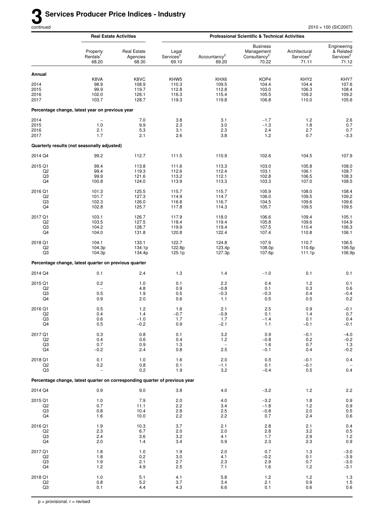|                                       | <b>Real Estate Activities</b>                                               |                                          | <b>Professional Scientific &amp; Technical Activities</b> |                                               |                                                                    |                                                      |                                                            |  |  |
|---------------------------------------|-----------------------------------------------------------------------------|------------------------------------------|-----------------------------------------------------------|-----------------------------------------------|--------------------------------------------------------------------|------------------------------------------------------|------------------------------------------------------------|--|--|
|                                       | Property<br>Rentals <sup>1</sup><br>68.20                                   | <b>Real Estate</b><br>Agencies<br>68.30  | Legal<br>Services <sup>2</sup><br>69.10                   | Accountancy <sup>2</sup><br>69.20             | <b>Business</b><br>Management<br>Consultancy <sup>2</sup><br>70.22 | Architectural<br>Services <sup>2</sup><br>71.11      | Engineering<br>& Related<br>Services <sup>2</sup><br>71.12 |  |  |
| Annual                                |                                                                             |                                          |                                                           |                                               |                                                                    |                                                      |                                                            |  |  |
| 2014<br>2015<br>2016<br>2017          | K8VA<br>98.9<br>99.9<br>102.0<br>103.7                                      | K8VC<br>108.9<br>119.7<br>126.1<br>128.7 | KHW <sub>5</sub><br>110.3<br>112.8<br>116.3<br>119.3      | KHX6<br>109.5<br>112.8<br>115.4<br>119.8      | KOP4<br>104.4<br>103.0<br>105.5<br>106.8                           | KHY <sub>2</sub><br>104.4<br>106.3<br>109.2<br>110.0 | KHY7<br>107.6<br>108.4<br>109.2<br>105.6                   |  |  |
|                                       | Percentage change, latest year on previous year                             |                                          |                                                           |                                               |                                                                    |                                                      |                                                            |  |  |
| 2014                                  |                                                                             | 7.0                                      | 3.8                                                       | 3.1                                           | $-1.7$                                                             | 1.2                                                  | 2.6                                                        |  |  |
| 2015<br>2016<br>2017                  | 1.0<br>2.1<br>1.7                                                           | 9.9<br>5.3<br>2.1                        | 2.3<br>3.1<br>2.6                                         | 3.0<br>2.3<br>3.8                             | $-1.3$<br>2.4<br>1.2                                               | 1.8<br>2.7<br>0.7                                    | 0.7<br>$0.7\,$<br>$-3.3$                                   |  |  |
|                                       | Quarterly results (not seasonally adjusted)                                 |                                          |                                                           |                                               |                                                                    |                                                      |                                                            |  |  |
| 2014 Q4                               | 99.2                                                                        | 112.7                                    | 111.5                                                     | 110.9                                         | 102.6                                                              | 104.5                                                | 107.9                                                      |  |  |
| 2015 Q1<br>Q <sub>2</sub><br>Q3<br>Q4 | 99.4<br>99.4<br>99.9<br>100.8                                               | 113.8<br>119.3<br>121.6<br>124.0         | 111.6<br>112.6<br>113.2<br>113.9                          | 113.3<br>112.4<br>112.1<br>113.3              | 103.0<br>103.1<br>102.8<br>103.3                                   | 105.8<br>106.1<br>106.5<br>107.0                     | 108.0<br>108.7<br>108.3<br>108.5                           |  |  |
| 2016 Q1<br>Q <sub>2</sub><br>Q3<br>Q4 | 101.3<br>101.7<br>102.3<br>102.8                                            | 125.5<br>127.3<br>126.0<br>125.7         | 115.7<br>114.9<br>116.8<br>117.8                          | 115.7<br>114.7<br>116.7<br>114.3              | 105.9<br>106.0<br>104.5<br>105.7                                   | 108.0<br>109.5<br>109.6<br>109.5                     | 108.4<br>109.2<br>109.6<br>109.5                           |  |  |
| 2017 Q1<br>Q <sub>2</sub><br>Q3<br>Q4 | 103.1<br>103.5<br>104.2<br>104.0                                            | 126.7<br>127.5<br>128.7<br>131.8         | 117.9<br>118.4<br>119.9<br>120.8                          | 118.0<br>119.4<br>119.4<br>122.4              | 106.6<br>105.8<br>107.5<br>107.4                                   | 109.4<br>109.6<br>110.4<br>110.8                     | 105.1<br>104.9<br>106.3<br>106.1                           |  |  |
| 2018 Q1<br>Q <sub>2</sub><br>Q3       | 104.1<br>104.3p<br>104.3p                                                   | 133.1<br>134.1p<br>134.4p                | 122.7<br>122.8p<br>125.1p                                 | 124.8<br>123.4p<br>127.3p                     | 107.9<br>108.0p<br>107.6p                                          | 110.7<br>110.6p<br>111.1p                            | 106.5<br>106.5p<br>106.9p                                  |  |  |
|                                       | Percentage change, latest quarter on previous quarter                       |                                          |                                                           |                                               |                                                                    |                                                      |                                                            |  |  |
| 2014 Q4                               | 0.1                                                                         | 2.4                                      | 1.3                                                       | 1.4                                           | $-1.0$                                                             | 0.1                                                  | 0.1                                                        |  |  |
| 2015 Q1<br>Q <sub>2</sub><br>Q3<br>Q4 | 0.2<br>0.5<br>0.9                                                           | 1.0<br>4.8<br>1.9<br>2.0                 | 0.1<br>0.9<br>0.5<br>0.6                                  | 2.2<br>$-0.8$<br>$-0.3$<br>1.1                | 0.4<br>0.1<br>$-0.3$<br>0.5                                        | $1.2$<br>0.3<br>0.4<br>0.5                           | 0.1<br>0.6<br>$-0.4$<br>0.2                                |  |  |
| 2016 Q1<br>Q <sub>2</sub><br>Q3<br>Q4 | 0.5<br>0.4<br>0.6<br>0.5                                                    | 1.2<br>1.4<br>$-1.0$<br>$-0.2$           | 1.6<br>$-0.7$<br>1.7<br>0.9                               | 2.1<br>$-0.9$<br>1.7<br>$-2.1$                | 2.5<br>0.1<br>$-1.4$<br>$1.1$                                      | 0.9<br>1.4<br>0.1<br>$-0.1$                          | $-0.1$<br>0.7<br>0.4<br>$-0.1$                             |  |  |
| 2017 Q1<br>Q2<br>Q3<br>Q4             | 0.3<br>0.4<br>0.7<br>$-0.2$                                                 | $0.8\,$<br>0.6<br>0.9<br>2.4             | 0.1<br>0.4<br>1.3<br>0.8                                  | 3.2<br>1.2<br>$\overline{\phantom{a}}$<br>2.5 | 0.9<br>$-0.8$<br>1.6<br>$-0.1$                                     | $-0.1$<br>0.2<br>0.7<br>0.4                          | $-4.0$<br>$-0.2$<br>1.3<br>$-0.2$                          |  |  |
| 2018 Q1<br>Q2<br>Q3                   | 0.1<br>0.2<br>$\overline{a}$                                                | 1.0<br>0.8<br>0.2                        | 1.6<br>0.1<br>1.9                                         | 2.0<br>$-1.1$<br>3.2                          | 0.5<br>0.1<br>$-0.4$                                               | $-0.1$<br>$-0.1$<br>0.5                              | $0.4\,$<br>$0.4\,$                                         |  |  |
|                                       | Percentage change, latest quarter on corresponding quarter of previous year |                                          |                                                           |                                               |                                                                    |                                                      |                                                            |  |  |
| 2014 Q4                               | 0.9                                                                         | 9.0                                      | 3.8                                                       | 4.0                                           | $-3.2$                                                             | 1.2                                                  | 2.2                                                        |  |  |
| 2015 Q1<br>Q2<br>Q3<br>Q4             | 1.0<br>0.7<br>0.8<br>1.6                                                    | 7.9<br>11.1<br>10.4<br>10.0              | 2.0<br>2.2<br>2.8<br>2.2                                  | 4.0<br>3.4<br>2.5<br>2.2                      | $-3.2$<br>$-1.8$<br>$-0.8$<br>0.7                                  | 1.8<br>1.2<br>2.0<br>2.4                             | $0.9$<br>$0.9$<br>$0.5$<br>$0.6\,$                         |  |  |
| 2016 Q1<br>Q2<br>Q3<br>Q4             | 1.9<br>2.3<br>2.4<br>2.0                                                    | 10.3<br>6.7<br>3.6<br>1.4                | 3.7<br>2.0<br>3.2<br>3.4                                  | 2.1<br>2.0<br>4.1<br>0.9                      | 2.8<br>2.8<br>1.7<br>2.3                                           | 2.1<br>3.2<br>2.9<br>2.3                             | 0.4<br>$0.5$<br>1.2<br>0.9                                 |  |  |
| 2017 Q1<br>Q2<br>Q3<br>Q4             | 1.8<br>1.8<br>1.9<br>1.2                                                    | 1.0<br>0.2<br>2.1<br>4.9                 | 1.9<br>3.0<br>2.7<br>2.5                                  | 2.0<br>4.1<br>2.3<br>7.1                      | 0.7<br>$-0.2$<br>2.9<br>1.6                                        | 1.3<br>0.1<br>0.7<br>1.2                             | $-3.0$<br>$-3.9$<br>$-3.0$<br>$-3.1$                       |  |  |
| 2018 Q1<br>Q2<br>$_{\rm Q3}$          | 1.0<br>0.8<br>0.1                                                           | 5.1<br>$5.2\,$<br>4.4                    | 4.1<br>3.7<br>4.3                                         | 5.8<br>3.4<br>6.6                             | 1.2<br>2.1<br>0.1                                                  | 1.2<br>0.9<br>0.6                                    | $\begin{array}{c} 1.3 \\ 1.5 \\ 0.6 \end{array}$           |  |  |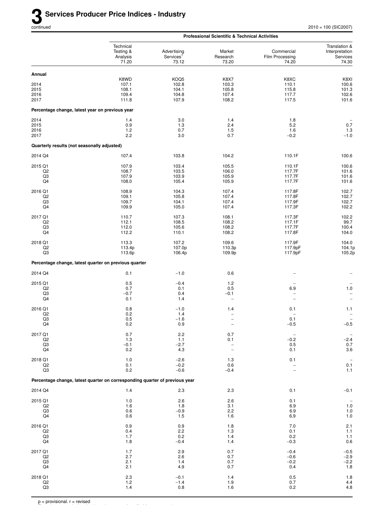|                                                   |                                                                             |                                               | <b>Professional Scientific &amp; Technical Activities</b> |                                                  |                                                         |
|---------------------------------------------------|-----------------------------------------------------------------------------|-----------------------------------------------|-----------------------------------------------------------|--------------------------------------------------|---------------------------------------------------------|
|                                                   | Technical<br>Testing &<br>Analysis<br>71.20                                 | Advertising<br>Services <sup>1</sup><br>73.12 | Market<br>Research<br>73.20                               | Commercial<br>Film Processing<br>74.20           | Translation &<br>Interpretation<br>Services<br>74.30    |
| Annual                                            |                                                                             |                                               |                                                           |                                                  |                                                         |
| 2014<br>2015<br>2016<br>2017                      | K8WD<br>107.1<br>108.1<br>109.4<br>111.8                                    | KOQ5<br>102.8<br>104.1<br>104.8<br>107.9      | K8X7<br>103.3<br>105.8<br>107.4<br>108.2                  | K8XC<br>110.1<br>115.8<br>117.7<br>117.5         | K8XI<br>100.6<br>101.3<br>102.6<br>101.6                |
| Percentage change, latest year on previous year   |                                                                             |                                               |                                                           |                                                  |                                                         |
| 2014<br>2015<br>2016<br>2017                      | 1.4<br>0.9<br>1.2<br>2.2                                                    | 3.0<br>1.3<br>0.7<br>3.0                      | 1.4<br>2.4<br>1.5<br>0.7                                  | 1.8<br>5.2<br>1.6<br>$-0.2$                      | 0.7<br>$1.3$<br>$-1.0$                                  |
| Quarterly results (not seasonally adjusted)       |                                                                             |                                               |                                                           |                                                  |                                                         |
| 2014 Q4                                           | 107.4                                                                       | 103.8                                         | 104.2                                                     | 110.1F                                           | 100.6                                                   |
| 2015 Q1<br>Q <sub>2</sub><br>Q3<br>Q4             | 107.9<br>108.7<br>107.9<br>108.0                                            | 103.4<br>103.5<br>103.9<br>105.4              | 105.5<br>106.0<br>105.9<br>105.9                          | 110.1F<br>117.7F<br>117.7F<br>117.7F             | 100.6<br>101.6<br>101.6<br>101.6                        |
| 2016 Q1<br>Q <sub>2</sub><br>Q3<br>Q4             | 108.9<br>109.1<br>109.7<br>109.9                                            | 104.3<br>105.8<br>104.1<br>105.0              | 107.4<br>107.4<br>107.4<br>107.4                          | 117.8F<br>117.8F<br>117.9F<br>117.3F             | 102.7<br>102.7<br>102.7<br>102.2                        |
| 2017 Q1<br>Q <sub>2</sub><br>Q3<br>Q <sub>4</sub> | 110.7<br>112.1<br>112.0<br>112.2                                            | 107.3<br>108.5<br>105.6<br>110.1              | 108.1<br>108.2<br>108.2<br>108.2                          | 117.3F<br>117.1F<br>117.7F<br>117.8F             | 102.2<br>99.7<br>100.4<br>104.0                         |
| 2018 Q1<br>Q <sub>2</sub><br>Q3                   | 113.3<br>113.4p<br>113.6p                                                   | 107.2<br>107.0p<br>106.4p                     | 109.6<br>110.3p<br>109.9p                                 | 117.9F<br>117.9pF<br>117.9pF                     | 104.0<br>104.1p<br>105.2p                               |
|                                                   | Percentage change, latest quarter on previous quarter                       |                                               |                                                           |                                                  |                                                         |
| 2014 Q4                                           | 0.1                                                                         | $-1.0$                                        | 0.6                                                       |                                                  |                                                         |
| 2015 Q1<br>Q <sub>2</sub><br>Q3<br>Q4             | 0.5<br>0.7<br>$-0.7$<br>0.1                                                 | $-0.4$<br>0.1<br>0.4<br>1.4                   | 1.2<br>0.5<br>$-0.1$<br>$\overline{\phantom{0}}$          | 6.9<br>L.<br>$\overline{\phantom{0}}$            | $1.0$<br>$\overline{\phantom{0}}$<br>$\qquad \qquad -$  |
| 2016 Q1<br>Q <sub>2</sub><br>Q3<br>Q4             | 0.8<br>0.2<br>0.5<br>0.2                                                    | $-1.0$<br>1.4<br>$-1.6$<br>0.9                | 1.4<br>$\overline{a}$<br>$\overline{\phantom{0}}$         | 0.1<br>$\overline{\phantom{0}}$<br>0.1<br>$-0.5$ | 1.1<br>$\qquad \qquad -$<br>$-0.5$                      |
| 2017 Q1<br>Q <sub>2</sub><br>Q3<br>Q4             | $0.7\,$<br>1.3<br>$-0.1$<br>0.2                                             | 2.2<br>1.1<br>$-2.7$<br>4.3                   | 0.7<br>0.1<br>-<br>$\overline{a}$                         | $\overline{\phantom{0}}$<br>$-0.2$<br>0.5<br>0.1 | $-2.4$<br>$0.7$<br>3.6                                  |
| 2018 Q1<br>Q2<br>Q3                               | 1.0<br>0.1<br>0.2                                                           | $-2.6$<br>$-0.2$<br>$-0.6$                    | 1.3<br>0.6<br>$-0.4$                                      | 0.1<br>$\overline{\phantom{0}}$                  | $\qquad \qquad -$<br>$0.1\,$<br>1.1                     |
|                                                   | Percentage change, latest quarter on corresponding quarter of previous year |                                               |                                                           |                                                  |                                                         |
| 2014 Q4                                           | 1.4                                                                         | 2.3                                           | 2.3                                                       | 0.1                                              | $-0.1$                                                  |
| 2015 Q1<br>Q2<br>Q3<br>Q4                         | 1.0<br>1.6<br>0.6<br>0.6                                                    | 2.6<br>1.8<br>$-0.9$<br>1.5                   | 2.6<br>3.1<br>2.2<br>1.6                                  | 0.1<br>6.9<br>6.9<br>6.9                         | $1.0\,$<br>$1.0$<br>$1.0$                               |
| 2016 Q1<br>Q2<br>Q3<br>Q4                         | 0.9<br>0.4<br>1.7<br>1.8                                                    | 0.9<br>2.2<br>0.2<br>$-0.4$                   | 1.8<br>1.3<br>1.4<br>1.4                                  | 7.0<br>0.1<br>0.2<br>$-0.3$                      | 2.1<br>1.1<br>$\begin{array}{c} 1.1 \\ 0.6 \end{array}$ |
| 2017 Q1<br>Q2<br>Q3<br>Q4                         | 1.7<br>2.7<br>2.1<br>2.1                                                    | 2.9<br>2.6<br>1.4<br>4.9                      | 0.7<br>0.7<br>0.7<br>0.7                                  | $-0.4$<br>$-0.6$<br>$-0.2$<br>0.4                | $-0.5$<br>$-2.9$<br>$-2.2$<br>1.8                       |
| 2018 Q1<br>$_{\mathsf{Q2}}$<br>Q3                 | $2.3\,$<br>$1.2$<br>1.4                                                     | $-0.1$<br>$-1.4$<br>0.8                       | 1.4<br>1.9<br>1.6                                         | 0.5<br>0.7<br>0.2                                | $\begin{array}{c} 1.8 \\ 4.4 \\ 4.8 \end{array}$        |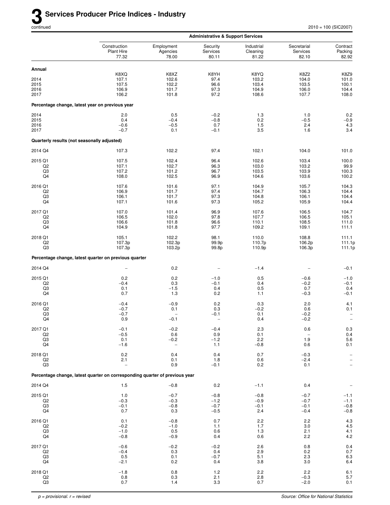|                           |                                                                             |                                    | <b>Administrative &amp; Support Services</b> |                                 |                                  |                                               |
|---------------------------|-----------------------------------------------------------------------------|------------------------------------|----------------------------------------------|---------------------------------|----------------------------------|-----------------------------------------------|
|                           | Construction<br><b>Plant Hire</b><br>77.32                                  | Employment<br>Agencies<br>78.00    | Security<br>Services<br>80.11                | Industrial<br>Cleaning<br>81.22 | Secretarial<br>Services<br>82.10 | Contract<br>Packing<br>82.92                  |
| Annual                    |                                                                             |                                    |                                              |                                 |                                  |                                               |
| 2014<br>2015<br>2016      | K8XQ<br>107.1<br>107.5<br>106.9                                             | K8XZ<br>102.6<br>102.2<br>101.7    | K8YH<br>97.4<br>96.6<br>97.3                 | K8YQ<br>103.2<br>103.4<br>104.9 | K8Z2<br>104.0<br>103.5<br>106.0  | K8Z9<br>101.0<br>100.1<br>104.4               |
| 2017                      | 106.2                                                                       | 101.8                              | 97.2                                         | 108.6                           | 107.7                            | 108.0                                         |
|                           | Percentage change, latest year on previous year                             |                                    |                                              |                                 |                                  |                                               |
| 2014<br>2015              | 2.0<br>0.4                                                                  | 0.5<br>$-0.4$                      | $-0.2$<br>$-0.8$                             | 1.3<br>0.2                      | 1.0<br>$-0.5$                    | 0.2<br>$-0.9$                                 |
| 2016                      | $-0.6$                                                                      | $-0.5$                             | 0.7                                          | 1.5                             | 2.4                              | 4.3                                           |
| 2017                      | $-0.7$                                                                      | 0.1                                | $-0.1$                                       | 3.5                             | 1.6                              | 3.4                                           |
|                           | Quarterly results (not seasonally adjusted)                                 |                                    |                                              |                                 |                                  |                                               |
| 2014 Q4                   | 107.3                                                                       | 102.2                              | 97.4                                         | 102.1                           | 104.0                            | 101.0                                         |
| 2015 Q1<br>Q <sub>2</sub> | 107.5<br>107.1                                                              | 102.4<br>102.7                     | 96.4<br>96.3                                 | 102.6<br>103.0                  | 103.4<br>103.2                   | 100.0<br>99.9                                 |
| Q3<br>Q4                  | 107.2<br>108.0                                                              | 101.2<br>102.5                     | 96.7<br>96.9                                 | 103.5<br>104.6                  | 103.9<br>103.6                   | 100.3<br>100.2                                |
| 2016 Q1                   | 107.6                                                                       | 101.6                              | 97.1                                         | 104.9                           | 105.7                            | 104.3                                         |
| Q <sub>2</sub>            | 106.9                                                                       | 101.7                              | 97.4                                         | 104.7                           | 106.3                            | 104.4                                         |
| Q3<br>Q4                  | 106.1<br>107.1                                                              | 101.7<br>101.6                     | 97.3<br>97.3                                 | 104.8<br>105.2                  | 106.1<br>105.9                   | 104.4<br>104.4                                |
| 2017 Q1                   | 107.0                                                                       | 101.4                              | 96.9                                         | 107.6                           | 106.5                            | 104.7                                         |
| Q <sub>2</sub><br>Q3      | 106.5<br>106.6                                                              | 102.0<br>101.8                     | 97.8<br>96.6                                 | 107.7<br>110.1                  | 106.5<br>108.5                   | 105.1<br>111.0                                |
| Q4                        | 104.9                                                                       | 101.8                              | 97.7                                         | 109.2                           | 109.1                            | 111.1                                         |
| 2018 Q1<br>Q2             | 105.1<br>107.3p                                                             | 102.2<br>102.3p                    | 98.1<br>99.9p                                | 110.0<br>110.7p                 | 108.8<br>106.2p                  | 111.1<br>111.1p                               |
| Q3                        | 107.3p                                                                      | 103.2p                             | 99.8p                                        | 110.9p                          | 106.3p                           | 111.1p                                        |
|                           | Percentage change, latest quarter on previous quarter                       |                                    |                                              |                                 |                                  |                                               |
| 2014 Q4                   |                                                                             | 0.2                                | $\overline{\phantom{0}}$                     | $-1.4$                          |                                  | $-0.1$                                        |
| 2015 Q1<br>Q2             | 0.2<br>$-0.4$                                                               | 0.2<br>0.3                         | $-1.0$<br>$-0.1$                             | 0.5<br>0.4                      | $-0.6$<br>$-0.2$                 | $-1.0$<br>$-0.1$                              |
| Q3                        | 0.1                                                                         | $-1.5$                             | 0.4                                          | 0.5                             | 0.7                              | 0.4                                           |
| Q4                        | 0.7                                                                         | 1.3                                | 0.2                                          | 1.1                             | $-0.3$                           | $-0.1$                                        |
| 2016 Q1<br>Q <sub>2</sub> | $-0.4$<br>$-0.7$                                                            | $-0.9$<br>0.1                      | 0.2<br>0.3                                   | 0.3<br>$-0.2$                   | 2.0<br>0.6                       | 4.1<br>0.1                                    |
| Q3<br>Q4                  | $-0.7$<br>0.9                                                               | $\overline{\phantom{0}}$<br>$-0.1$ | $-0.1$                                       | 0.1<br>0.4                      | $-0.2$<br>$-0.2$                 | $\overline{\phantom{0}}$<br>$\qquad \qquad -$ |
| 2017 Q1                   | $-0.1$                                                                      | $-0.2$                             | $-0.4$                                       | 2.3                             | 0.6                              |                                               |
| Q2                        | $-0.5$                                                                      | 0.6                                | 0.9                                          | 0.1                             | $\qquad \qquad -$                | $\begin{array}{c} 0.3 \\ 0.4 \end{array}$     |
| Q3<br>Q4                  | 0.1<br>$-1.6$                                                               | $-0.2$<br>$\overline{\phantom{0}}$ | $-1.2$<br>1.1                                | 2.2<br>$-0.8$                   | 1.9<br>0.6                       | 5.6<br>0.1                                    |
| 2018 Q1                   | 0.2                                                                         | 0.4                                | 0.4                                          | 0.7                             | $-0.3$                           | -                                             |
| Q2<br>Q3                  | 2.1<br>$\overline{a}$                                                       | 0.1<br>0.9                         | 1.8<br>$-0.1$                                | 0.6<br>0.2                      | $-2.4$<br>0.1                    |                                               |
|                           | Percentage change, latest quarter on corresponding quarter of previous year |                                    |                                              |                                 |                                  |                                               |
| 2014 Q4                   | 1.5                                                                         | $-0.8$                             | 0.2                                          | $-1.1$                          | 0.4                              |                                               |
| 2015 Q1                   | 1.0                                                                         | $-0.7$                             | $-0.8$                                       | $-0.8$                          | $-0.7$                           | $-1.1$                                        |
| Q2<br>Q3                  | $-0.3$<br>$-0.1$                                                            | $-0.3$<br>$-0.8$                   | $-1.2$<br>$-0.7$                             | $-0.9$<br>$-0.1$                | $-0.7$<br>$-0.1$                 | $-1.1$<br>$-0.8$                              |
| Q4                        | 0.7                                                                         | 0.3                                | $-0.5$                                       | 2.4                             | $-0.4$                           | $-0.8$                                        |
| 2016 Q1                   | 0.1                                                                         | $-0.8$                             | 0.7                                          | 2.2                             | 2.2                              | $\frac{4.3}{4.5}$                             |
| Q2<br>Q3                  | $-0.2$<br>$-1.0$                                                            | $-1.0$<br>0.5                      | 1.1<br>0.6                                   | 1.7<br>1.3                      | $3.0\,$<br>2.1                   | $^{4.1}_{4.2}$                                |
| Q4                        | $-0.8$                                                                      | $-0.9$                             | 0.4                                          | 0.6                             | 2.2                              |                                               |
| 2017 Q1<br>Q2             | $-0.6$<br>$-0.4$                                                            | $-0.2$<br>0.3                      | $-0.2$<br>0.4                                | 2.6<br>2.9                      | 0.8<br>0.2                       | 0.4<br>0.7                                    |
| Q3<br>Q4                  | 0.5<br>$-2.1$                                                               | 0.1<br>0.2                         | $-0.7$<br>0.4                                | 5.1<br>3.8                      | 2.3<br>3.0                       | $6.3\,$<br>$6.4\,$                            |
|                           |                                                                             |                                    |                                              |                                 |                                  |                                               |
| 2018 Q1<br>Q2             | $-1.8$<br>0.8                                                               | 0.8<br>0.3                         | 1.2<br>2.1                                   | 2.2<br>2.8                      | 2.2<br>$-0.3$                    | 6.1<br>$5.7\,$                                |
| Q3                        | 0.7                                                                         | 1.4                                | 3.3                                          | 0.7                             | $-2.0$                           | 0.1                                           |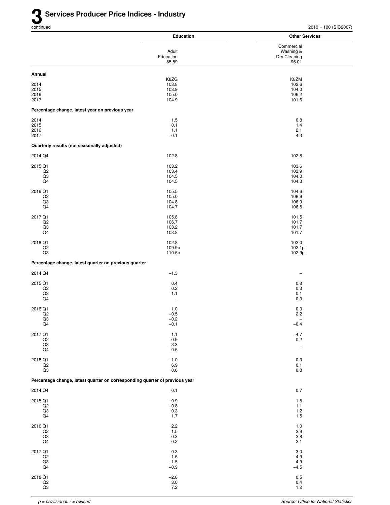|                                                       | <b>Education</b>                                                            | <b>Other Services</b>                                |
|-------------------------------------------------------|-----------------------------------------------------------------------------|------------------------------------------------------|
|                                                       |                                                                             | Commercial                                           |
|                                                       | Adult<br>Education                                                          | Washing &<br>Dry Cleaning                            |
|                                                       | 85.59                                                                       | 96.01                                                |
| Annual                                                | K8ZG                                                                        | K8ZM                                                 |
| 2014                                                  | 103.8                                                                       | 102.6                                                |
| 2015<br>2016                                          | 103.9<br>105.0                                                              | 104.0<br>106.2                                       |
| 2017                                                  | 104.9                                                                       | 101.6                                                |
| Percentage change, latest year on previous year       |                                                                             |                                                      |
| 2014                                                  | 1.5                                                                         | 0.8                                                  |
| 2015<br>2016                                          | 0.1<br>1.1                                                                  | 1.4<br>2.1                                           |
| 2017                                                  | $-0.1$                                                                      | $-4.3$                                               |
| Quarterly results (not seasonally adjusted)           |                                                                             |                                                      |
| 2014 Q4                                               | 102.8                                                                       | 102.8                                                |
| 2015 Q1                                               | 103.2                                                                       | 103.6                                                |
| Q <sub>2</sub><br>Q3                                  | 103.4<br>104.5                                                              | 103.9<br>104.0                                       |
| Q4                                                    | 104.5                                                                       | 104.3                                                |
| 2016 Q1                                               | 105.5                                                                       | 104.6                                                |
| Q2<br>Q3                                              | 105.0<br>104.8                                                              | 106.9<br>106.9                                       |
| Q4                                                    | 104.7                                                                       | 106.5                                                |
| 2017 Q1                                               | 105.8                                                                       | 101.5                                                |
| Q <sub>2</sub>                                        | 106.7                                                                       | 101.7                                                |
| Q3<br>Q4                                              | 103.2<br>103.8                                                              | 101.7<br>101.7                                       |
| 2018 Q1                                               | 102.8                                                                       | 102.0                                                |
| Q2<br>Q3                                              | 109.9p<br>110.6p                                                            | 102.1p<br>102.9p                                     |
| Percentage change, latest quarter on previous quarter |                                                                             |                                                      |
| 2014 Q4                                               | $-1.3$                                                                      |                                                      |
| 2015 Q1                                               | 0.4                                                                         | 0.8                                                  |
| Q2                                                    | 0.2                                                                         | 0.3                                                  |
| Q3<br>Q4                                              | 1.1<br>$\overline{\phantom{m}}$                                             | 0.1<br>0.3                                           |
| 2016 Q1                                               | 1.0                                                                         | 0.3                                                  |
| Q2<br>Q3                                              | $-0.5$                                                                      | 2.2                                                  |
| Q4                                                    | $-0.2$<br>$-0.1$                                                            | $\overline{\phantom{a}}$<br>$-0.4$                   |
| 2017 Q1                                               | $1.1$                                                                       | $-4.7$                                               |
| Q2                                                    | 0.9                                                                         | $0.2\,$                                              |
| $_{\rm Q3}$<br>Q4                                     | $-3.3$<br>0.6                                                               | $\overline{\phantom{a}}$<br>$\overline{\phantom{a}}$ |
| 2018 Q1                                               | $-1.0$                                                                      | 0.3                                                  |
| Q2                                                    | 6.9                                                                         | 0.1                                                  |
| Q3                                                    | 0.6                                                                         | 0.8                                                  |
|                                                       | Percentage change, latest quarter on corresponding quarter of previous year |                                                      |
| 2014 Q4                                               | 0.1                                                                         | 0.7                                                  |
| 2015 Q1                                               | $-0.9$                                                                      | 1.5                                                  |
| Q2<br>$_{\rm Q3}$                                     | $-0.8$<br>$0.3\,$                                                           | 1.1<br>$1.2$                                         |
| Q4                                                    | 1.7                                                                         | 1.5                                                  |
| 2016 Q1                                               | 2.2                                                                         | 1.0                                                  |
| Q2                                                    | 1.5                                                                         | 2.9                                                  |
| $_{\rm Q3}$<br>Q4                                     | $0.3\,$<br>0.2                                                              | 2.8<br>2.1                                           |
| 2017 Q1                                               | 0.3                                                                         | $-3.0$                                               |
| Q2                                                    | 1.6                                                                         | $-4.9$                                               |
| Q3<br>$\mathsf{Q4}$                                   | $-1.5$<br>$-0.9$                                                            | $-4.9$<br>$-4.5$                                     |
| 2018 Q1                                               | $-2.8$                                                                      | $0.5\,$                                              |
| $_{\mathsf{Q2}}$                                      | $\frac{3.0}{7.2}$                                                           | 0.4                                                  |
| $\overline{Q3}$                                       |                                                                             | 1.2                                                  |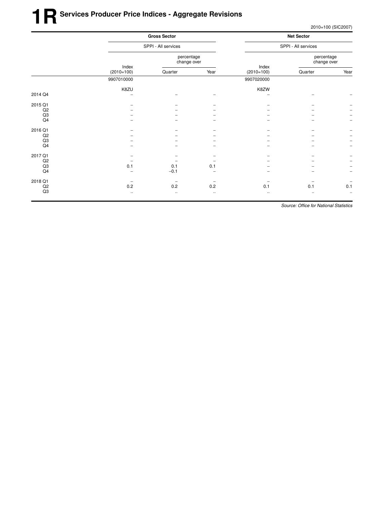|         |                       | <b>Gross Sector</b><br>SPPI - All services |          |                       | <b>Net Sector</b><br>SPPI - All services |           |  |
|---------|-----------------------|--------------------------------------------|----------|-----------------------|------------------------------------------|-----------|--|
|         |                       |                                            |          |                       |                                          |           |  |
|         |                       | percentage<br>change over                  |          |                       | percentage<br>change over                |           |  |
|         | Index<br>$(2010=100)$ | Quarter                                    | Year     | Index<br>$(2010=100)$ | Quarter                                  | Year      |  |
|         | 9907010000            |                                            |          | 9907020000            |                                          |           |  |
|         | K8ZU                  |                                            |          | K8ZW                  |                                          |           |  |
| 2014 Q4 |                       |                                            |          |                       |                                          |           |  |
| 2015 Q1 |                       |                                            |          |                       |                                          |           |  |
| Q2      |                       |                                            |          |                       |                                          |           |  |
| Q3      |                       |                                            |          |                       |                                          |           |  |
| Q4      |                       |                                            |          |                       |                                          |           |  |
| 2016 Q1 |                       |                                            |          |                       |                                          |           |  |
| Q2      |                       |                                            |          |                       |                                          |           |  |
| Q3      |                       |                                            |          |                       |                                          |           |  |
| Q4      |                       |                                            |          |                       |                                          |           |  |
| 2017 Q1 |                       |                                            |          |                       |                                          |           |  |
| Q2      |                       |                                            |          |                       |                                          |           |  |
| Q3      | 0.1                   | 0.1                                        | 0.1      |                       |                                          |           |  |
| Q4      |                       | $-0.1$                                     |          |                       |                                          |           |  |
| 2018 Q1 | $\qquad \qquad$       | $\qquad \qquad$                            |          |                       |                                          |           |  |
| Q2      | 0.2                   | 0.2                                        | 0.2      | 0.1                   | 0.1                                      | 0.1       |  |
| Q3      | $\ldots$              | $\cdot$ .                                  | $\ldots$ | $\cdot$ .             |                                          | $\ddotsc$ |  |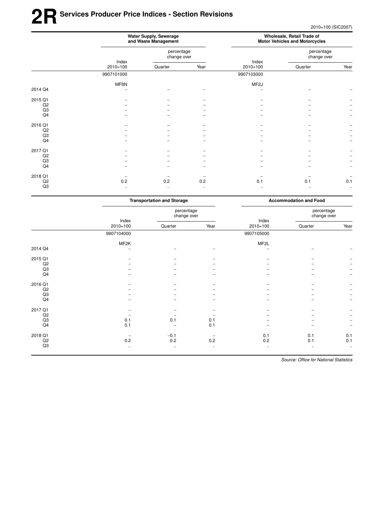## **2RSer vices Producer Price Indices - Section Revisions**

2010=100 (SIC2007)

|                | Water Supply, Sewerage<br>and Waste Management |                           |          | Wholesale, Retail Trade of<br><b>Motor Vehicles and Motorcycles</b> |                           |                          |
|----------------|------------------------------------------------|---------------------------|----------|---------------------------------------------------------------------|---------------------------|--------------------------|
|                |                                                | percentage<br>change over |          |                                                                     | percentage<br>change over |                          |
|                | Index<br>$2010 = 100$                          | Quarter                   | Year     | Index<br>$2010=100$                                                 | Quarter                   | Year                     |
|                | 9907101000                                     |                           |          | 9907103000                                                          |                           |                          |
|                | MF8N                                           |                           |          | MF <sub>2</sub> J                                                   |                           |                          |
| 2014 Q4        |                                                |                           |          |                                                                     |                           |                          |
| 2015 Q1        |                                                |                           |          |                                                                     |                           |                          |
| Q2             |                                                |                           |          |                                                                     |                           |                          |
| Q3             |                                                |                           |          |                                                                     |                           |                          |
| Q <sub>4</sub> |                                                |                           |          |                                                                     |                           |                          |
| 2016 Q1        |                                                |                           |          |                                                                     |                           |                          |
| Q2             |                                                |                           |          |                                                                     |                           |                          |
| Q3             |                                                |                           |          |                                                                     |                           |                          |
| Q4             |                                                |                           |          |                                                                     |                           |                          |
| 2017 Q1        |                                                |                           |          |                                                                     |                           |                          |
| Q2             |                                                |                           |          |                                                                     |                           |                          |
| Q3             |                                                |                           |          |                                                                     |                           |                          |
| Q4             |                                                |                           |          |                                                                     |                           | $\overline{\phantom{m}}$ |
| 2018 Q1        |                                                |                           |          |                                                                     |                           |                          |
| Q2             | 0.2                                            | 0.2                       | 0.2      | 0.1                                                                 | 0.1                       | 0.1                      |
| Q3             | $\cdots$                                       | $\cdots$                  | $\ldots$ | $\cdot$ .                                                           | $\ldots$                  | $\ldots$                 |

|         | <b>Transportation and Storage</b> |                           |                   | <b>Accommodation and Food</b> |                           |                          |
|---------|-----------------------------------|---------------------------|-------------------|-------------------------------|---------------------------|--------------------------|
|         | Index<br>$2010=100$               | percentage<br>change over |                   |                               | percentage<br>change over |                          |
|         |                                   | Quarter                   | Year              | Index<br>$2010 = 100$         | Quarter                   | Year                     |
|         | 9907104000                        |                           |                   | 9907105000                    |                           |                          |
|         | MF2K                              |                           |                   | MF <sub>2</sub> L             |                           |                          |
| 2014 Q4 |                                   |                           |                   |                               | -                         |                          |
| 2015 Q1 |                                   |                           |                   |                               |                           |                          |
| Q2      |                                   |                           |                   |                               |                           |                          |
| Q3      |                                   |                           |                   |                               |                           |                          |
| Q4      |                                   |                           |                   |                               |                           | $\overline{\phantom{m}}$ |
| 2016 Q1 |                                   |                           |                   |                               |                           |                          |
| Q2      |                                   |                           |                   |                               |                           |                          |
| Q3      |                                   |                           |                   |                               |                           | $\overline{\phantom{m}}$ |
| Q4      |                                   |                           |                   |                               |                           |                          |
| 2017 Q1 |                                   |                           |                   |                               |                           |                          |
| Q2      |                                   |                           |                   |                               |                           |                          |
| Q3      | 0.1                               | 0.1                       | 0.1               |                               |                           |                          |
| Q4      | 0.1                               |                           | 0.1               |                               |                           | $\overline{\phantom{m}}$ |
| 2018 Q1 | $\overline{\phantom{0}}$          | $-0.1$                    | $\qquad \qquad -$ | 0.1                           | 0.1                       | 0.1                      |
| Q2      | 0.2                               | 0.2                       | 0.2               | 0.2                           | 0.1                       | 0.1                      |
| Q3      | $\ldots$                          | $\ldots$                  | $\ldots$          | $\ldots$                      | $\ldots$                  | $\ddotsc$                |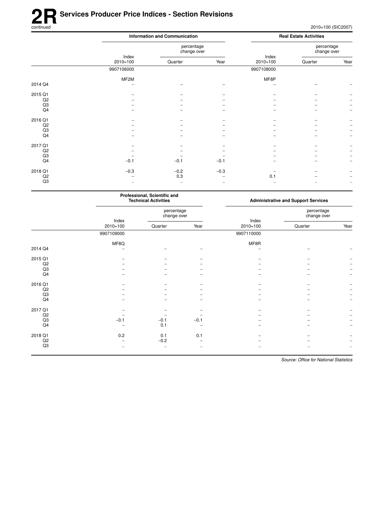# **2R** Services Producer Price Indices - Section Revisions<br>
continued

|         |                     | <b>Information and Communication</b> |          |                     |                           |                          |
|---------|---------------------|--------------------------------------|----------|---------------------|---------------------------|--------------------------|
|         |                     | percentage<br>change over            |          |                     | percentage<br>change over |                          |
|         | Index<br>$2010=100$ | Quarter                              | Year     | Index<br>$2010=100$ | Quarter                   | Year                     |
|         | 9907106000          |                                      |          | 9907108000          |                           |                          |
|         | MF2M                |                                      |          | MF8P                |                           |                          |
| 2014 Q4 |                     |                                      |          |                     |                           |                          |
| 2015 Q1 |                     |                                      |          |                     |                           |                          |
| Q2      |                     |                                      |          |                     |                           |                          |
| Q3      |                     |                                      |          |                     |                           |                          |
| Q4      |                     |                                      |          |                     |                           |                          |
| 2016 Q1 |                     |                                      |          |                     |                           |                          |
| Q2      |                     |                                      |          |                     |                           |                          |
| Q3      |                     |                                      |          |                     |                           |                          |
| Q4      |                     |                                      |          |                     |                           | $\overline{\phantom{m}}$ |
| 2017 Q1 |                     |                                      |          |                     |                           |                          |
| Q2      |                     |                                      |          |                     |                           |                          |
| Q3      |                     |                                      |          |                     |                           |                          |
| Q4      | $-0.1$              | $-0.1$                               | $-0.1$   |                     |                           |                          |
| 2018 Q1 | $-0.3$              | $-0.2$                               | $-0.3$   |                     |                           |                          |
| Q2      |                     | 0.3                                  |          | 0.1                 |                           |                          |
| Q3      | $\ldots$            | $\ldots$                             | $\ldots$ | $\cdot$ .           | $\cdot\cdot$              | $\cdot\cdot$             |

| Professional, Scientific and<br><b>Technical Activities</b> |                           |                         | <b>Administrative and Support Services</b> |                           |              |
|-------------------------------------------------------------|---------------------------|-------------------------|--------------------------------------------|---------------------------|--------------|
|                                                             | percentage<br>change over |                         |                                            | percentage<br>change over |              |
| $2010=100$                                                  | Quarter                   | Year                    | $2010 = 100$                               | Quarter                   | Year         |
| 9907109000                                                  |                           |                         | 9907110000                                 |                           |              |
| MF8Q                                                        |                           |                         | MF8R                                       |                           |              |
|                                                             |                           |                         |                                            |                           |              |
|                                                             |                           |                         |                                            |                           |              |
|                                                             |                           |                         |                                            |                           |              |
|                                                             |                           |                         |                                            |                           |              |
|                                                             |                           |                         |                                            |                           |              |
|                                                             |                           |                         |                                            |                           |              |
|                                                             |                           |                         |                                            |                           |              |
|                                                             |                           |                         |                                            |                           |              |
|                                                             |                           |                         |                                            |                           |              |
|                                                             |                           |                         |                                            |                           |              |
|                                                             |                           |                         |                                            |                           |              |
|                                                             |                           |                         |                                            |                           |              |
|                                                             | 0.1                       |                         |                                            |                           |              |
|                                                             |                           |                         |                                            |                           |              |
|                                                             |                           |                         |                                            |                           |              |
| $\cdot$ .                                                   | $\cdot\cdot$              | $\cdot\cdot$            |                                            |                           | $\cdot\cdot$ |
|                                                             | Index<br>$-0.1$<br>0.2    | $-0.1$<br>0.1<br>$-0.2$ | $-0.1$<br>0.1                              | Index                     |              |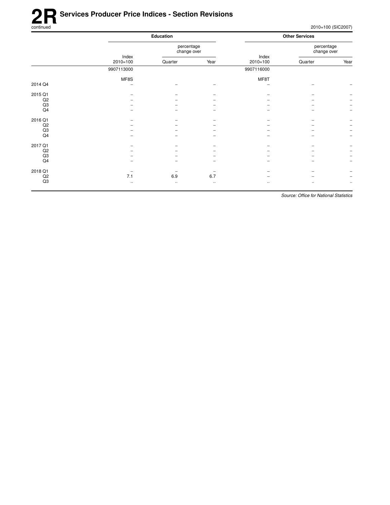# **2R** Services Producer Price Indices - Section Revisions<br>
continued

2010=100 (SIC2007)

|             | Education             |          |                           | <b>Other Services</b> |                           |                          |
|-------------|-----------------------|----------|---------------------------|-----------------------|---------------------------|--------------------------|
|             |                       |          | percentage<br>change over |                       | percentage<br>change over |                          |
|             | Index<br>$2010 = 100$ | Quarter  | Year                      | Index<br>$2010=100$   | Quarter                   | Year                     |
|             | 9907113000            |          |                           | 9907116000            |                           |                          |
|             | MF8S                  |          |                           | MF8T                  |                           |                          |
| 2014 Q4     | -                     |          |                           |                       |                           |                          |
| 2015 Q1     |                       |          |                           |                       |                           |                          |
| $_{\rm Q2}$ |                       |          |                           |                       |                           |                          |
| Q3          |                       |          |                           |                       |                           | $\overline{\phantom{m}}$ |
| Q4          |                       |          |                           |                       |                           | $\overline{\phantom{m}}$ |
| 2016 Q1     |                       |          |                           |                       |                           |                          |
| Q2          |                       |          |                           |                       |                           |                          |
| $_{\rm Q3}$ |                       |          |                           |                       |                           | $\overline{\phantom{m}}$ |
| Q4          |                       |          |                           |                       |                           | $\overline{\phantom{a}}$ |
| 2017 Q1     |                       |          |                           |                       |                           |                          |
| Q2          |                       |          |                           |                       |                           | $\overline{\phantom{m}}$ |
| Q3          |                       |          |                           |                       |                           | $\overline{\phantom{m}}$ |
| Q4          |                       |          |                           |                       |                           | $\overline{\phantom{m}}$ |
| 2018 Q1     |                       |          |                           |                       |                           |                          |
| Q2          | 7.1                   | 6.9      | 6.7                       |                       |                           | $\qquad \qquad -$        |
| Q3          | $\cdot\cdot$          | $\cdots$ | $\cdot\cdot$              | $\cdot\cdot$          | $\cdot$ .                 | $\ldots$                 |
|             |                       |          |                           |                       |                           |                          |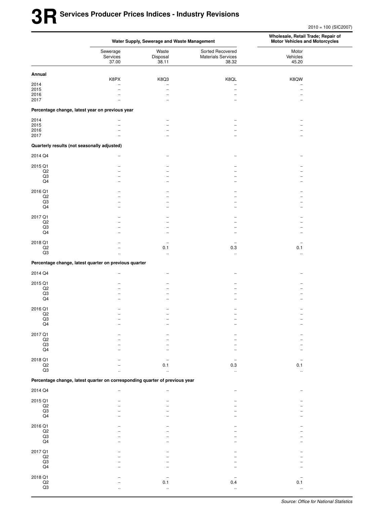2010 = 100 (SIC2007)

|                                |                                                                             | Water Supply, Sewerage and Waste Management | Wholesale, Retail Trade; Repair of<br><b>Motor Vehicles and Motorcycles</b> |                            |  |
|--------------------------------|-----------------------------------------------------------------------------|---------------------------------------------|-----------------------------------------------------------------------------|----------------------------|--|
|                                | Sewerage<br>Services<br>37.00                                               | Waste<br>Disposal<br>38.11                  | Sorted Recovered<br><b>Materials Services</b><br>38.32                      | Motor<br>Vehicles<br>45.20 |  |
| Annual                         |                                                                             |                                             |                                                                             |                            |  |
|                                | K8PX                                                                        | K8Q3                                        | K8QL                                                                        | K8QW                       |  |
| 2014<br>2015                   |                                                                             |                                             | $\overline{\phantom{0}}$                                                    |                            |  |
| 2016                           |                                                                             |                                             | $\overline{\phantom{0}}$                                                    |                            |  |
| 2017                           |                                                                             | ۰                                           |                                                                             |                            |  |
|                                | Percentage change, latest year on previous year                             |                                             |                                                                             |                            |  |
| 2014                           |                                                                             | -                                           |                                                                             |                            |  |
| 2015<br>2016                   |                                                                             | $\equiv$                                    | -                                                                           |                            |  |
| 2017                           |                                                                             |                                             |                                                                             |                            |  |
|                                | Quarterly results (not seasonally adjusted)                                 |                                             |                                                                             |                            |  |
| 2014 Q4                        |                                                                             |                                             |                                                                             |                            |  |
| 2015 Q1                        |                                                                             |                                             |                                                                             |                            |  |
| Q2                             |                                                                             |                                             |                                                                             |                            |  |
| $_{\rm Q3}$<br>$\mathsf{Q4}$   |                                                                             |                                             |                                                                             |                            |  |
|                                |                                                                             |                                             |                                                                             |                            |  |
| 2016 Q1                        |                                                                             |                                             |                                                                             |                            |  |
| $_{\rm Q2}$<br>Q3              |                                                                             |                                             |                                                                             |                            |  |
| Q4                             |                                                                             |                                             |                                                                             |                            |  |
| 2017 Q1                        |                                                                             |                                             |                                                                             |                            |  |
| Q2                             |                                                                             |                                             |                                                                             |                            |  |
| $_{\rm Q3}$                    |                                                                             |                                             |                                                                             |                            |  |
| Q4                             |                                                                             |                                             |                                                                             |                            |  |
| 2018 Q1                        |                                                                             | -                                           |                                                                             |                            |  |
| Q2                             |                                                                             | 0.1                                         | 0.3                                                                         | 0.1                        |  |
| Q3                             | $\ddot{\phantom{a}}$                                                        | $\ddotsc$                                   | $\ddot{\phantom{a}}$                                                        | $\ddot{\phantom{a}}$       |  |
|                                | Percentage change, latest quarter on previous quarter                       |                                             |                                                                             |                            |  |
| 2014 Q4                        |                                                                             |                                             |                                                                             |                            |  |
| 2015 Q1                        |                                                                             |                                             |                                                                             |                            |  |
| $_{\rm Q2}$                    |                                                                             |                                             |                                                                             |                            |  |
| Q3<br>Q4                       |                                                                             |                                             |                                                                             |                            |  |
|                                |                                                                             |                                             |                                                                             |                            |  |
| 2016 Q1<br>Q2                  |                                                                             |                                             |                                                                             |                            |  |
| $_{\rm Q3}$                    |                                                                             |                                             |                                                                             |                            |  |
| Q4                             |                                                                             |                                             |                                                                             |                            |  |
| 2017 Q1                        |                                                                             |                                             |                                                                             |                            |  |
| $\frac{Q2}{Q3}$                |                                                                             |                                             |                                                                             |                            |  |
| $\mathsf{Q4}$                  |                                                                             |                                             |                                                                             |                            |  |
|                                |                                                                             |                                             |                                                                             |                            |  |
| 2018 Q1                        |                                                                             |                                             | $\overline{a}$                                                              |                            |  |
| $\mathsf{Q2}$<br>Q3            |                                                                             | 0.1                                         | $0.3\,$<br>$\ddotsc$                                                        | 0.1                        |  |
|                                | Percentage change, latest quarter on corresponding quarter of previous year |                                             |                                                                             |                            |  |
| 2014 Q4                        |                                                                             |                                             |                                                                             |                            |  |
|                                |                                                                             |                                             |                                                                             |                            |  |
| 2015 Q1<br>$\mathsf{Q2}$       |                                                                             |                                             |                                                                             |                            |  |
| $_{\rm Q3}$                    |                                                                             |                                             |                                                                             |                            |  |
| $\mathsf{Q4}$                  |                                                                             |                                             |                                                                             |                            |  |
| 2016 Q1                        |                                                                             |                                             |                                                                             |                            |  |
| $\frac{Q2}{Q3}$                |                                                                             |                                             |                                                                             |                            |  |
| $\mathsf{Q4}$                  |                                                                             |                                             |                                                                             |                            |  |
|                                |                                                                             |                                             |                                                                             |                            |  |
| 2017 Q1                        |                                                                             |                                             |                                                                             |                            |  |
| $\mathsf{Q2}$                  |                                                                             |                                             |                                                                             |                            |  |
| $_{\mathsf{Q4}}^{\mathsf{Q3}}$ |                                                                             |                                             |                                                                             |                            |  |
|                                |                                                                             |                                             |                                                                             |                            |  |
| 2018 Q1<br>Q2                  |                                                                             | 0.1                                         | 0.4                                                                         | 0.1                        |  |
| $\mathsf{Q3}$                  |                                                                             |                                             | $\ddot{\phantom{a}}$                                                        |                            |  |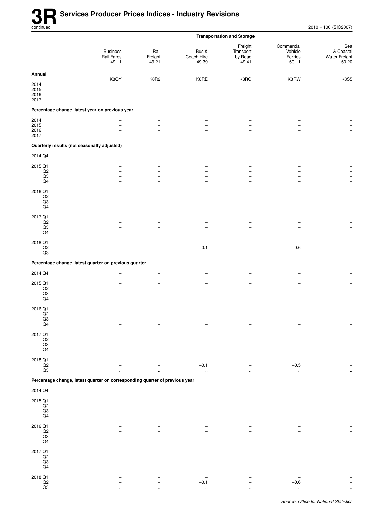|                                             |                                                                             |                          |                              | <b>Transportation and Storage</b>        |                                           |                                            |
|---------------------------------------------|-----------------------------------------------------------------------------|--------------------------|------------------------------|------------------------------------------|-------------------------------------------|--------------------------------------------|
|                                             | <b>Business</b><br>Rail Fares<br>49.11                                      | Rail<br>Freight<br>49.21 | Bus &<br>Coach Hire<br>49.39 | Freight<br>Transport<br>by Road<br>49.41 | Commercial<br>Vehicle<br>Ferries<br>50.11 | Sea<br>& Coastal<br>Water Freight<br>50.20 |
| Annual                                      |                                                                             |                          |                              |                                          |                                           |                                            |
| 2014                                        | K8QY                                                                        | K8R2                     | K8RE                         | K8RO                                     | K8RW                                      | <b>K8S5</b><br>$\overline{\phantom{a}}$    |
| 2015                                        | $\overline{\phantom{0}}$                                                    | -                        | -                            | $\overline{\phantom{0}}$                 | L.                                        | $\overline{\phantom{a}}$                   |
| 2016<br>2017                                |                                                                             |                          |                              |                                          |                                           | $\qquad \qquad -$                          |
|                                             | Percentage change, latest year on previous year                             |                          |                              |                                          |                                           |                                            |
| 2014                                        |                                                                             | -                        |                              |                                          |                                           |                                            |
| 2015                                        |                                                                             | $\equiv$                 |                              |                                          |                                           |                                            |
| 2016<br>2017                                |                                                                             |                          |                              |                                          |                                           |                                            |
| Quarterly results (not seasonally adjusted) |                                                                             |                          |                              |                                          |                                           |                                            |
| 2014 Q4                                     |                                                                             |                          |                              |                                          |                                           |                                            |
|                                             |                                                                             |                          |                              |                                          |                                           |                                            |
| 2015 Q1<br>Q2                               |                                                                             |                          |                              |                                          |                                           |                                            |
| $_{\rm Q3}$                                 |                                                                             |                          |                              |                                          |                                           |                                            |
| $\mathsf{Q4}$                               |                                                                             |                          |                              |                                          |                                           | $\overline{a}$                             |
| 2016 Q1                                     |                                                                             |                          |                              |                                          |                                           |                                            |
| $_{\mathsf{Q2}}$<br>Q3                      |                                                                             |                          |                              |                                          |                                           |                                            |
| $\mathsf{Q4}$                               |                                                                             |                          |                              |                                          |                                           |                                            |
| 2017 Q1                                     |                                                                             |                          |                              |                                          |                                           |                                            |
| $_{\rm Q2}$                                 |                                                                             |                          |                              |                                          |                                           |                                            |
| Q3<br>Q4                                    |                                                                             | -<br>۰                   |                              |                                          |                                           | $\overline{\phantom{a}}$<br>$\overline{a}$ |
|                                             |                                                                             |                          |                              |                                          |                                           |                                            |
| 2018 Q1<br>Q2                               |                                                                             |                          | $-0.1$                       |                                          | $-0.6$                                    |                                            |
| Q3                                          |                                                                             |                          | $\ddot{\phantom{a}}$         |                                          | .,                                        | $\cdot\cdot$                               |
|                                             | Percentage change, latest quarter on previous quarter                       |                          |                              |                                          |                                           |                                            |
| 2014 Q4                                     |                                                                             |                          |                              |                                          |                                           |                                            |
| 2015 Q1                                     |                                                                             |                          |                              |                                          |                                           |                                            |
| $_{\mathsf{Q2}}$                            |                                                                             |                          |                              |                                          |                                           |                                            |
| Q3<br>$\mathsf{Q4}$                         |                                                                             |                          |                              |                                          |                                           |                                            |
|                                             |                                                                             |                          |                              |                                          |                                           |                                            |
| 2016 Q1<br>Q2                               |                                                                             |                          |                              |                                          |                                           |                                            |
| Q3                                          |                                                                             |                          |                              |                                          |                                           |                                            |
| Q4                                          |                                                                             |                          |                              |                                          |                                           |                                            |
| 2017 Q1                                     |                                                                             |                          |                              |                                          |                                           |                                            |
| $_{\mathsf{Q2}}$<br>$_{\rm Q3}$             |                                                                             |                          |                              |                                          |                                           |                                            |
| $\mathsf{Q4}$                               |                                                                             |                          |                              |                                          |                                           |                                            |
| 2018 Q1                                     |                                                                             |                          |                              |                                          |                                           |                                            |
| $_{\mathsf{Q2}}$<br>$\mathsf{Q3}$           |                                                                             |                          | $-0.1$                       |                                          | $-0.5$                                    |                                            |
|                                             |                                                                             |                          |                              |                                          |                                           |                                            |
|                                             | Percentage change, latest quarter on corresponding quarter of previous year |                          |                              |                                          |                                           |                                            |
| 2014 Q4                                     |                                                                             |                          |                              |                                          |                                           |                                            |
| 2015 Q1                                     |                                                                             |                          |                              |                                          |                                           |                                            |
| $_{\mathsf{Q2}}$<br>Q3                      |                                                                             |                          |                              |                                          |                                           |                                            |
| Q4                                          |                                                                             |                          |                              |                                          |                                           |                                            |
| 2016 Q1                                     |                                                                             |                          |                              |                                          |                                           |                                            |
| $_{\mathsf{Q2}}$<br>$_{\rm Q3}$             |                                                                             |                          |                              |                                          |                                           |                                            |
| $\mathsf{Q4}$                               |                                                                             |                          |                              |                                          |                                           |                                            |
| 2017 Q1                                     |                                                                             |                          |                              |                                          |                                           |                                            |
| $_{\mathsf{Q2}}$                            |                                                                             |                          |                              |                                          |                                           |                                            |
| $_{\rm Q3}$<br>Q4                           |                                                                             |                          |                              |                                          |                                           |                                            |
|                                             |                                                                             |                          |                              |                                          |                                           |                                            |
| 2018 Q1<br>$\mathsf{Q2}$                    |                                                                             |                          | $-0.1$                       |                                          | $-0.6$                                    |                                            |
| $\mathsf{Q3}$                               |                                                                             |                          |                              |                                          |                                           |                                            |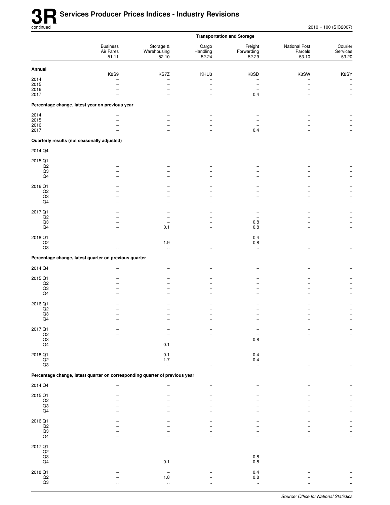|                                                  |                                                                             |                                            |                                                    | <b>Transportation and Storage</b>       |                                   |                                                                            |
|--------------------------------------------------|-----------------------------------------------------------------------------|--------------------------------------------|----------------------------------------------------|-----------------------------------------|-----------------------------------|----------------------------------------------------------------------------|
|                                                  | <b>Business</b><br>Air Fares<br>51.11                                       | Storage &<br>Warehousing<br>52.10          | Cargo<br>Handling<br>52.24                         | Freight<br>Forwarding<br>52.29          | National Post<br>Parcels<br>53.10 | Courier<br>Services<br>53.20                                               |
| Annual                                           |                                                                             |                                            |                                                    |                                         |                                   |                                                                            |
| 2014<br>2015<br>2016<br>2017                     | K8S9                                                                        | KS7Z<br>$\overline{\phantom{0}}$<br>-<br>▃ | KHU3<br>$\overline{a}$<br>$\overline{\phantom{0}}$ | K8SD<br>$\overline{\phantom{0}}$<br>0.4 | K8SW                              | K8SY<br>$\qquad \qquad -$<br>$\overline{\phantom{a}}$<br>$\qquad \qquad -$ |
|                                                  | Percentage change, latest year on previous year                             |                                            |                                                    |                                         |                                   |                                                                            |
| 2014<br>2015<br>2016<br>2017                     | $\overline{\phantom{0}}$                                                    |                                            |                                                    | 0.4                                     |                                   |                                                                            |
| Quarterly results (not seasonally adjusted)      |                                                                             |                                            |                                                    |                                         |                                   |                                                                            |
| 2014 Q4                                          |                                                                             |                                            |                                                    |                                         |                                   |                                                                            |
| 2015 Q1<br>$_{\mathsf{Q2}}$<br>Q3<br>Q4          |                                                                             |                                            |                                                    |                                         |                                   |                                                                            |
| 2016 Q1<br>$_{\mathsf{Q2}}$<br>Q3<br>Q4          | -                                                                           | ۳                                          | ۰                                                  |                                         |                                   | ۳                                                                          |
| 2017 Q1<br>Q2<br>Q3<br>Q4                        |                                                                             | 0.1                                        | $\overline{\phantom{0}}$                           | 0.8<br>0.8                              |                                   |                                                                            |
| 2018 Q1<br>$_{\mathsf{Q2}}$<br>Q3                |                                                                             | 1.9<br>$\ddotsc$                           | $\ddot{\phantom{a}}$                               | 0.4<br>$0.8\,$<br>$\ddotsc$             |                                   | $\ddotsc$                                                                  |
|                                                  | Percentage change, latest quarter on previous quarter                       |                                            |                                                    |                                         |                                   |                                                                            |
| 2014 Q4                                          |                                                                             |                                            |                                                    |                                         |                                   |                                                                            |
| 2015 Q1<br>$_{\mathsf{Q2}}$<br>Q3<br>Q4          |                                                                             |                                            |                                                    |                                         |                                   |                                                                            |
| 2016 Q1<br>$_{\mathsf{Q2}}$<br>Q3<br>Q4          |                                                                             |                                            |                                                    |                                         |                                   |                                                                            |
| 2017 Q1<br>$_{\mathsf{Q2}}$<br>$_{\rm Q3}$<br>Q4 |                                                                             | 0.1                                        |                                                    | 0.8                                     |                                   |                                                                            |
| 2018 Q1<br>$\mathsf{Q2}$<br>$\mathsf{Q3}$        |                                                                             | $-0.1$<br>1.7<br>à.                        |                                                    | $-0.4$<br>0.4<br>$\ddotsc$              |                                   |                                                                            |
|                                                  | Percentage change, latest quarter on corresponding quarter of previous year |                                            |                                                    |                                         |                                   |                                                                            |
| 2014 Q4                                          |                                                                             |                                            |                                                    |                                         |                                   |                                                                            |
| 2015 Q1<br>$\mathsf{Q2}$<br>$_{\rm Q3}$<br>Q4    |                                                                             |                                            |                                                    |                                         |                                   |                                                                            |
| 2016 Q1<br>$_{\mathsf{Q2}}$<br>$_{\rm Q3}$<br>Q4 |                                                                             |                                            |                                                    |                                         |                                   |                                                                            |
| 2017 Q1<br>$_{\mathsf{Q2}}$<br>Q3<br>Q4          |                                                                             | 0.1                                        |                                                    | 0.8<br>0.8                              |                                   |                                                                            |
| 2018 Q1<br>$_{\mathsf{Q2}}$<br>$\mathsf{Q3}$     |                                                                             | 1.8<br>$\ddot{\phantom{1}}$                |                                                    | 0.4<br>$0.8\,$<br>$\ddotsc$             |                                   |                                                                            |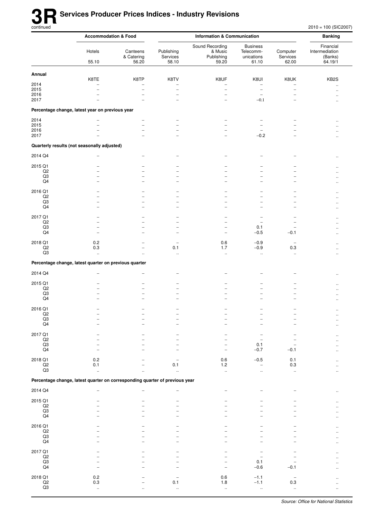$2010 = 100$  (SIC2007)

|                                   | <b>Accommodation &amp; Food</b>                                             |                                 | <b>Information &amp; Communication</b> |                                                      |                                                     |                                  | <b>Banking</b>                                    |
|-----------------------------------|-----------------------------------------------------------------------------|---------------------------------|----------------------------------------|------------------------------------------------------|-----------------------------------------------------|----------------------------------|---------------------------------------------------|
|                                   | Hotels<br>55.10                                                             | Canteens<br>& Catering<br>56.20 | Publishing<br>Services<br>58.10        | Sound Recording<br>& Music<br>Publishing<br>59.20    | <b>Business</b><br>Telecomm-<br>unications<br>61.10 | Computer<br>Services<br>62.00    | Financial<br>Intermediation<br>(Banks)<br>64.19/1 |
| Annual                            |                                                                             |                                 |                                        |                                                      |                                                     |                                  |                                                   |
| 2014                              | K8TE<br>-                                                                   | K8TP<br>-                       | K8TV<br>-                              | K8UF<br>$\overline{\phantom{0}}$                     | K8UI<br>$\qquad \qquad -$                           | K8UK<br>$\overline{\phantom{0}}$ | KB <sub>2</sub> S                                 |
| 2015                              | $\overline{\phantom{0}}$                                                    | $\overline{\phantom{0}}$        | $\overline{\phantom{0}}$               | $\overline{\phantom{0}}$                             | $\qquad \qquad -$                                   | $\overline{\phantom{0}}$         | Ω.<br>                                            |
| 2016<br>2017                      |                                                                             |                                 |                                        | -<br>$\overline{a}$                                  | $\overline{a}$<br>$-0.1$                            |                                  | ٠.                                                |
|                                   |                                                                             |                                 |                                        |                                                      |                                                     |                                  |                                                   |
|                                   | Percentage change, latest year on previous year                             |                                 |                                        |                                                      |                                                     |                                  |                                                   |
| 2014<br>2015                      |                                                                             | $\equiv$                        | ۳                                      |                                                      | -                                                   |                                  |                                                   |
| 2016                              |                                                                             | -                               | -                                      |                                                      | $\overline{\phantom{0}}$                            |                                  |                                                   |
| 2017                              |                                                                             |                                 |                                        |                                                      | $-0.2$                                              |                                  |                                                   |
|                                   | Quarterly results (not seasonally adjusted)                                 |                                 |                                        |                                                      |                                                     |                                  |                                                   |
| 2014 Q4                           |                                                                             |                                 |                                        |                                                      |                                                     |                                  |                                                   |
| 2015 Q1                           |                                                                             |                                 |                                        |                                                      |                                                     |                                  |                                                   |
| Q2<br>Q3                          |                                                                             |                                 |                                        |                                                      |                                                     |                                  |                                                   |
| Q4                                |                                                                             |                                 | -                                      | ۰                                                    | -                                                   | -                                |                                                   |
| 2016 Q1                           |                                                                             |                                 |                                        |                                                      |                                                     |                                  |                                                   |
| Q2                                |                                                                             | -                               | $\overline{\phantom{0}}$               | $\overline{\phantom{0}}$                             | $\overline{\phantom{0}}$                            | $\overline{a}$                   |                                                   |
| Q3<br>Q4                          | -                                                                           | -                               | $\overline{\phantom{0}}$               |                                                      | -                                                   |                                  |                                                   |
| 2017 Q1                           |                                                                             |                                 |                                        |                                                      |                                                     |                                  |                                                   |
| Q2                                |                                                                             |                                 |                                        |                                                      |                                                     |                                  |                                                   |
| Q3<br>Q4                          | L.                                                                          | -                               | -<br>$\equiv$                          | $\overline{\phantom{0}}$<br>$\overline{\phantom{a}}$ | 0.1<br>$-0.5$                                       | $\overline{a}$<br>$-0.1$         |                                                   |
|                                   |                                                                             |                                 |                                        |                                                      |                                                     |                                  |                                                   |
| 2018 Q1<br>Q2                     | 0.2<br>0.3                                                                  |                                 | -<br>0.1                               | 0.6<br>1.7                                           | $-0.9$<br>$-0.9$                                    | $\overline{\phantom{0}}$<br>0.3  |                                                   |
| Q3                                | $\ddotsc$                                                                   |                                 | ä.                                     | $\ddotsc$                                            | $\ddotsc$                                           | $\ddotsc$                        |                                                   |
|                                   | Percentage change, latest quarter on previous quarter                       |                                 |                                        |                                                      |                                                     |                                  |                                                   |
| 2014 Q4                           |                                                                             |                                 |                                        |                                                      |                                                     |                                  |                                                   |
| 2015 Q1                           |                                                                             |                                 |                                        |                                                      |                                                     |                                  |                                                   |
| Q2                                |                                                                             |                                 |                                        | $\overline{\phantom{0}}$                             | -                                                   | -                                |                                                   |
| Q3<br>Q4                          |                                                                             |                                 |                                        | ۰                                                    |                                                     | $\overline{\phantom{0}}$         |                                                   |
|                                   |                                                                             |                                 |                                        |                                                      |                                                     |                                  |                                                   |
| 2016 Q1<br>Q2                     |                                                                             |                                 |                                        |                                                      |                                                     |                                  | <br>ä.                                            |
| Q3                                |                                                                             |                                 |                                        |                                                      |                                                     |                                  |                                                   |
| Q <sub>4</sub>                    |                                                                             |                                 |                                        |                                                      |                                                     |                                  | Ω.                                                |
| 2017 Q1<br>Q2                     |                                                                             |                                 |                                        |                                                      |                                                     |                                  |                                                   |
| $_{\rm Q3}$                       |                                                                             |                                 |                                        |                                                      | 0.1                                                 |                                  | ٠.                                                |
| Q <sub>4</sub>                    |                                                                             |                                 |                                        | $\overline{\phantom{a}}$                             | $-0.7$                                              | $-0.1$                           | ٠.                                                |
| 2018 Q1                           | 0.2                                                                         |                                 |                                        | 0.6                                                  | $-0.5$                                              | 0.1                              |                                                   |
| $_{\rm Q2}$<br>Q3                 | 0.1<br>$\ddot{\phantom{1}}$                                                 | Ω.                              | 0.1<br>$\ddot{\phantom{a}}$            | 1.2<br>$\ddot{\phantom{1}}$                          | $\qquad \qquad -$<br>$\ddotsc$                      | 0.3<br>$\ddot{\phantom{1}}$      | μ.<br>Ω.                                          |
|                                   | Percentage change, latest quarter on corresponding quarter of previous year |                                 |                                        |                                                      |                                                     |                                  |                                                   |
| 2014 Q4                           |                                                                             |                                 |                                        | $\overline{\phantom{0}}$                             |                                                     |                                  |                                                   |
|                                   |                                                                             |                                 |                                        |                                                      |                                                     |                                  |                                                   |
| 2015 Q1<br>$_{\mathsf{Q2}}$       |                                                                             |                                 |                                        |                                                      |                                                     |                                  |                                                   |
| Q3                                |                                                                             |                                 |                                        |                                                      |                                                     |                                  |                                                   |
| Q4                                |                                                                             |                                 |                                        |                                                      |                                                     |                                  |                                                   |
| 2016 Q1<br>Q2                     |                                                                             |                                 |                                        |                                                      |                                                     |                                  | $\ddot{\phantom{a}}$                              |
| $_{\rm Q3}$                       |                                                                             |                                 |                                        |                                                      |                                                     |                                  |                                                   |
| Q4                                | L.                                                                          |                                 |                                        |                                                      |                                                     |                                  |                                                   |
| 2017 Q1                           |                                                                             |                                 |                                        |                                                      |                                                     |                                  |                                                   |
| $_{\mathsf{Q2}}$<br>Q3            |                                                                             |                                 |                                        |                                                      | 0.1                                                 |                                  |                                                   |
| Q4                                |                                                                             |                                 |                                        |                                                      | $-0.6$                                              | $-0.1$                           |                                                   |
| 2018 Q1                           | 0.2                                                                         |                                 |                                        | 0.6                                                  | $-1.1$                                              | $\overline{\phantom{0}}$         |                                                   |
| $_{\mathsf{Q2}}$<br>$\mathsf{Q3}$ | $0.3\,$                                                                     |                                 | 0.1                                    | $1.8\,$                                              | $-1.1$                                              | 0.3                              |                                                   |
|                                   | $\ddot{\phantom{1}}$                                                        |                                 | $\ddotsc$                              | $\ddot{\phantom{1}}$                                 | $\ddotsc$                                           | $\ddotsc$                        |                                                   |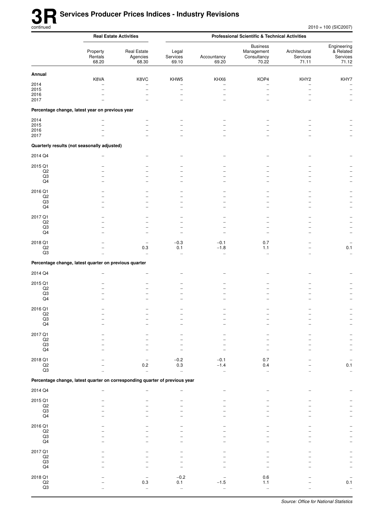|                                  | <b>Real Estate Activities</b>                                               |                                         | <b>Professional Scientific &amp; Technical Activities</b> |                          |                                                       |                                    |                                               |  |
|----------------------------------|-----------------------------------------------------------------------------|-----------------------------------------|-----------------------------------------------------------|--------------------------|-------------------------------------------------------|------------------------------------|-----------------------------------------------|--|
|                                  | Property<br>Rentals<br>68.20                                                | <b>Real Estate</b><br>Agencies<br>68.30 | Legal<br>Services<br>69.10                                | Accountancy<br>69.20     | <b>Business</b><br>Management<br>Consultancy<br>70.22 | Architectural<br>Services<br>71.11 | Engineering<br>& Related<br>Services<br>71.12 |  |
| Annual                           |                                                                             |                                         |                                                           |                          |                                                       |                                    |                                               |  |
| 2014                             | K8VA                                                                        | K8VC                                    | KHW5                                                      | KHX6                     | KOP4                                                  | KHY2                               | KHY7                                          |  |
| 2015                             |                                                                             | $\overline{\phantom{0}}$                | $\overline{\phantom{0}}$                                  | $\overline{\phantom{0}}$ | $\overline{\phantom{0}}$                              | $\overline{\phantom{0}}$           | $\overline{\phantom{m}}$                      |  |
| 2016<br>2017                     |                                                                             |                                         |                                                           |                          |                                                       |                                    | $\qquad \qquad -$<br>$\qquad \qquad -$        |  |
|                                  | Percentage change, latest year on previous year                             |                                         |                                                           |                          |                                                       |                                    |                                               |  |
| 2014                             |                                                                             |                                         |                                                           |                          |                                                       |                                    |                                               |  |
| 2015                             |                                                                             |                                         |                                                           |                          |                                                       |                                    |                                               |  |
| 2016<br>2017                     |                                                                             |                                         |                                                           |                          |                                                       |                                    | $\overline{\phantom{m}}$                      |  |
|                                  | Quarterly results (not seasonally adjusted)                                 |                                         |                                                           |                          |                                                       |                                    |                                               |  |
| 2014 Q4                          |                                                                             |                                         |                                                           |                          |                                                       |                                    |                                               |  |
| 2015 Q1                          |                                                                             |                                         |                                                           |                          |                                                       |                                    |                                               |  |
| $_{\mathsf{Q2}}$                 |                                                                             |                                         |                                                           |                          |                                                       |                                    |                                               |  |
| Q3<br>Q4                         |                                                                             |                                         |                                                           |                          |                                                       |                                    |                                               |  |
| 2016 Q1                          |                                                                             |                                         |                                                           |                          |                                                       |                                    |                                               |  |
| Q <sub>2</sub>                   |                                                                             |                                         |                                                           |                          |                                                       |                                    |                                               |  |
| Q3<br>Q4                         |                                                                             |                                         |                                                           |                          |                                                       |                                    |                                               |  |
|                                  |                                                                             |                                         |                                                           |                          |                                                       |                                    |                                               |  |
| 2017 Q1<br>$_{\mathsf{Q2}}$      |                                                                             |                                         |                                                           |                          |                                                       |                                    |                                               |  |
| Q3                               |                                                                             |                                         |                                                           |                          |                                                       |                                    |                                               |  |
| Q4                               |                                                                             |                                         |                                                           |                          |                                                       |                                    | $\overline{\phantom{0}}$                      |  |
| 2018 Q1                          |                                                                             | $\overline{\phantom{0}}$                | $-0.3$                                                    | $-0.1$                   | 0.7                                                   |                                    | $\overline{\phantom{m}}$                      |  |
| $_{\mathsf{Q2}}$<br>Q3           | ä.                                                                          | $0.3\,$<br>$\ddotsc$                    | 0.1<br>.,                                                 | $-1.8$<br>$\ddotsc$      | 1.1<br>$\ddotsc$                                      | $\ddotsc$                          | 0.1<br>$\ddot{\phantom{1}}$                   |  |
|                                  | Percentage change, latest quarter on previous quarter                       |                                         |                                                           |                          |                                                       |                                    |                                               |  |
| 2014 Q4                          |                                                                             |                                         |                                                           |                          |                                                       |                                    |                                               |  |
|                                  |                                                                             |                                         |                                                           |                          |                                                       |                                    |                                               |  |
| 2015 Q1<br>Q <sub>2</sub>        |                                                                             |                                         |                                                           |                          |                                                       |                                    |                                               |  |
| Q3                               |                                                                             |                                         |                                                           |                          |                                                       |                                    |                                               |  |
| Q4                               |                                                                             |                                         |                                                           |                          |                                                       |                                    |                                               |  |
| 2016 Q1                          |                                                                             |                                         |                                                           |                          |                                                       |                                    |                                               |  |
| Q <sub>2</sub><br>Q <sub>3</sub> |                                                                             |                                         |                                                           |                          |                                                       |                                    |                                               |  |
| Q4                               |                                                                             |                                         |                                                           |                          |                                                       |                                    |                                               |  |
| 2017 Q1                          |                                                                             |                                         |                                                           |                          |                                                       |                                    |                                               |  |
| Q2                               |                                                                             |                                         |                                                           |                          |                                                       |                                    |                                               |  |
| Q3<br>Q4                         |                                                                             |                                         |                                                           |                          |                                                       |                                    |                                               |  |
| 2018 Q1                          |                                                                             |                                         | $-0.2$                                                    | $-0.1$                   | 0.7                                                   |                                    |                                               |  |
| $\mathsf{Q2}$                    |                                                                             | 0.2                                     | 0.3                                                       | $-1.4$                   | 0.4                                                   |                                    | 0.1                                           |  |
| Q3                               |                                                                             | $\ddotsc$                               | $\bar{\Omega}$                                            | ä,                       | $\mathbf{r}$                                          |                                    | $\ddotsc$                                     |  |
|                                  | Percentage change, latest quarter on corresponding quarter of previous year |                                         |                                                           |                          |                                                       |                                    |                                               |  |
| 2014 Q4                          |                                                                             |                                         |                                                           |                          |                                                       |                                    |                                               |  |
| 2015 Q1                          |                                                                             |                                         |                                                           |                          |                                                       |                                    |                                               |  |
| Q2<br>Q3                         |                                                                             |                                         |                                                           |                          |                                                       |                                    |                                               |  |
| Q4                               |                                                                             |                                         |                                                           |                          |                                                       |                                    |                                               |  |
| 2016 Q1                          |                                                                             |                                         |                                                           |                          |                                                       |                                    |                                               |  |
| $_{\mathsf{Q2}}$                 |                                                                             |                                         |                                                           |                          |                                                       |                                    |                                               |  |
| Q3<br>Q4                         |                                                                             |                                         |                                                           |                          |                                                       |                                    | $\overline{\phantom{0}}$                      |  |
|                                  |                                                                             |                                         |                                                           |                          |                                                       |                                    |                                               |  |
| 2017 Q1<br>Q2                    |                                                                             |                                         |                                                           |                          |                                                       |                                    |                                               |  |
| Q3                               |                                                                             |                                         |                                                           |                          |                                                       |                                    |                                               |  |
| Q4                               |                                                                             |                                         |                                                           |                          |                                                       |                                    |                                               |  |
| 2018 Q1                          |                                                                             |                                         | $-0.2$                                                    |                          | 0.6                                                   |                                    |                                               |  |
| $_{\rm Q2}$<br>Q3                |                                                                             | 0.3<br>u,                               | 0.1<br>à.                                                 | $-1.5$<br>ä,             | 1.1<br>ä,                                             |                                    | 0.1<br>$\ddotsc$                              |  |
|                                  |                                                                             |                                         |                                                           |                          |                                                       |                                    |                                               |  |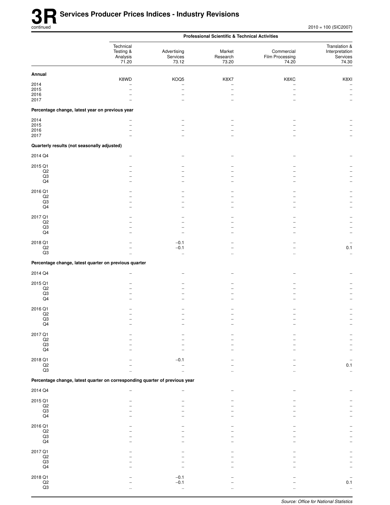|                                                         |                                                                             |                                  | <b>Professional Scientific &amp; Technical Activities</b> |                                        |                                                       |
|---------------------------------------------------------|-----------------------------------------------------------------------------|----------------------------------|-----------------------------------------------------------|----------------------------------------|-------------------------------------------------------|
|                                                         | Technical<br>Testing &<br>Analysis<br>71.20                                 | Advertising<br>Services<br>73.12 | Market<br>Research<br>73.20                               | Commercial<br>Film Processing<br>74.20 | Translation &<br>Interpretation<br>Services<br>74.30  |
| Annual                                                  |                                                                             |                                  |                                                           |                                        |                                                       |
| 2014<br>2015                                            | K8WD<br>-                                                                   | KOQ5<br>$\overline{\phantom{0}}$ | K8X7                                                      | K8XC<br>$\overline{\phantom{0}}$       | K8XI<br>$\overline{\phantom{0}}$<br>$\qquad \qquad -$ |
| 2016                                                    |                                                                             |                                  |                                                           | ۰                                      |                                                       |
| 2017<br>Percentage change, latest year on previous year |                                                                             |                                  |                                                           |                                        |                                                       |
|                                                         |                                                                             |                                  |                                                           |                                        |                                                       |
| 2014<br>2015                                            |                                                                             |                                  |                                                           |                                        |                                                       |
| 2016<br>2017                                            |                                                                             |                                  |                                                           |                                        |                                                       |
| Quarterly results (not seasonally adjusted)             |                                                                             |                                  |                                                           |                                        |                                                       |
| 2014 Q4                                                 |                                                                             |                                  |                                                           |                                        |                                                       |
| 2015 Q1                                                 |                                                                             |                                  |                                                           |                                        |                                                       |
| Q2                                                      |                                                                             |                                  |                                                           |                                        |                                                       |
| Q3<br>Q4                                                |                                                                             |                                  |                                                           |                                        |                                                       |
| 2016 Q1                                                 |                                                                             |                                  |                                                           |                                        |                                                       |
| Q2                                                      |                                                                             |                                  |                                                           |                                        |                                                       |
| Q3<br>Q4                                                |                                                                             |                                  |                                                           |                                        |                                                       |
| 2017 Q1                                                 |                                                                             |                                  |                                                           |                                        |                                                       |
| $_{\mathsf{Q2}}$                                        |                                                                             |                                  |                                                           |                                        |                                                       |
| Q3<br>Q4                                                |                                                                             |                                  |                                                           |                                        |                                                       |
| 2018 Q1                                                 |                                                                             | $-0.1$                           |                                                           |                                        | $\overline{\phantom{0}}$                              |
| $\mathsf{Q2}$                                           |                                                                             | $-0.1$                           |                                                           |                                        | 0.1                                                   |
| Q3                                                      | $\ddotsc$                                                                   | $\ddotsc$                        |                                                           |                                        | $\ddotsc$                                             |
|                                                         | Percentage change, latest quarter on previous quarter                       |                                  |                                                           |                                        |                                                       |
| 2014 Q4                                                 | -                                                                           |                                  |                                                           |                                        |                                                       |
| 2015 Q1                                                 |                                                                             |                                  |                                                           |                                        |                                                       |
| Q2<br>Q3                                                |                                                                             |                                  |                                                           |                                        |                                                       |
| Q4                                                      |                                                                             |                                  |                                                           |                                        |                                                       |
| 2016 Q1                                                 |                                                                             |                                  |                                                           |                                        |                                                       |
| Q2<br>Q3                                                |                                                                             |                                  |                                                           |                                        |                                                       |
| Q4                                                      |                                                                             |                                  |                                                           |                                        |                                                       |
| 2017 Q1                                                 |                                                                             |                                  |                                                           |                                        |                                                       |
| $\frac{Q2}{Q3}$                                         |                                                                             |                                  |                                                           |                                        |                                                       |
| $\mathsf{Q4}$                                           |                                                                             |                                  |                                                           |                                        |                                                       |
| 2018 Q1                                                 |                                                                             | $-0.1$                           |                                                           |                                        |                                                       |
| $_{\mathsf{Q2}}$<br>Q3                                  |                                                                             |                                  |                                                           |                                        | 0.1<br>$\ddot{\phantom{1}}$                           |
|                                                         |                                                                             |                                  |                                                           |                                        |                                                       |
|                                                         | Percentage change, latest quarter on corresponding quarter of previous year |                                  |                                                           |                                        |                                                       |
| 2014 Q4                                                 | -                                                                           |                                  |                                                           |                                        |                                                       |
| 2015 Q1<br>$\mathsf{Q2}$                                |                                                                             |                                  |                                                           |                                        |                                                       |
| $_{\rm Q3}$                                             |                                                                             |                                  |                                                           |                                        |                                                       |
| Q4                                                      |                                                                             |                                  |                                                           |                                        |                                                       |
| 2016 Q1                                                 |                                                                             |                                  |                                                           |                                        |                                                       |
| $_{\rm Q2}$<br>$_{\rm Q3}$                              |                                                                             |                                  |                                                           |                                        |                                                       |
| $\mathsf{Q4}$                                           |                                                                             |                                  |                                                           |                                        |                                                       |
| 2017 Q1                                                 |                                                                             |                                  |                                                           |                                        |                                                       |
| $_{\rm Q2}$<br>$_{\mathsf{Q4}}^{\mathsf{Q3}}$           |                                                                             |                                  |                                                           |                                        |                                                       |
|                                                         |                                                                             |                                  |                                                           |                                        |                                                       |
| 2018 Q1                                                 |                                                                             | $-0.1$                           |                                                           |                                        |                                                       |
| $_{\mathsf{Q2}}$<br>$\rm Q3$                            | $\ddot{\phantom{a}}$                                                        | $-0.1$<br>.,                     |                                                           |                                        | 0.1                                                   |
|                                                         |                                                                             |                                  |                                                           |                                        |                                                       |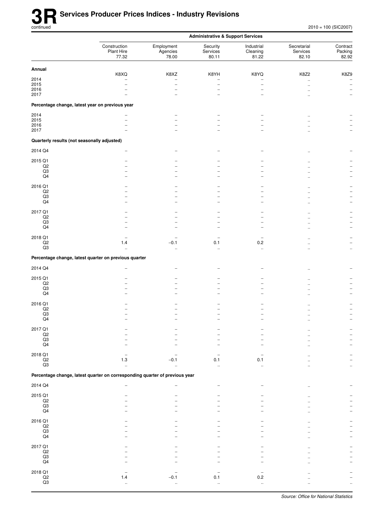|                                                              |                                                                             |                                       | <b>Administrative &amp; Support Services</b>                         |                                 |                                  |                                                                     |
|--------------------------------------------------------------|-----------------------------------------------------------------------------|---------------------------------------|----------------------------------------------------------------------|---------------------------------|----------------------------------|---------------------------------------------------------------------|
|                                                              | Construction<br>Plant Hire<br>77.32                                         | Employment<br>Agencies<br>78.00       | Security<br>Services<br>80.11                                        | Industrial<br>Cleaning<br>81.22 | Secretarial<br>Services<br>82.10 | Contract<br>Packing<br>82.92                                        |
| Annual                                                       |                                                                             |                                       |                                                                      |                                 |                                  |                                                                     |
| 2014<br>2015<br>2016<br>2017                                 | K8XQ                                                                        | K8XZ<br>-<br>$\overline{\phantom{a}}$ | K8YH<br>$\overline{a}$<br>$\overline{\phantom{0}}$<br>$\overline{a}$ | K8YQ<br>-<br>$\overline{a}$     | K8Z2<br>$\ddotsc$                | K8Z9<br>$\qquad \qquad -$<br>$\qquad \qquad -$<br>$\qquad \qquad -$ |
|                                                              | Percentage change, latest year on previous year                             |                                       |                                                                      |                                 |                                  |                                                                     |
| 2014<br>2015<br>2016<br>2017                                 |                                                                             |                                       |                                                                      |                                 |                                  |                                                                     |
| Quarterly results (not seasonally adjusted)                  |                                                                             |                                       |                                                                      |                                 |                                  |                                                                     |
| 2014 Q4                                                      |                                                                             |                                       |                                                                      |                                 |                                  |                                                                     |
| 2015 Q1<br>$_{\mathsf{Q2}}$<br>Q3<br>Q4                      |                                                                             |                                       |                                                                      |                                 |                                  |                                                                     |
| 2016 Q1<br>$_{\mathsf{Q2}}$<br>Q3<br>Q4                      |                                                                             | $\overline{\phantom{a}}$              | $\overline{\phantom{0}}$<br>$\overline{a}$                           | -<br>$\overline{a}$             |                                  | $\overline{\phantom{0}}$                                            |
| 2017 Q1<br>Q2<br>Q3<br>Q4                                    |                                                                             |                                       | ۰                                                                    |                                 |                                  |                                                                     |
| 2018 Q1<br>$_{\mathsf{Q2}}$<br>Q3                            | 1.4<br>$\ddotsc$                                                            | $-0.1$<br>$\ddotsc$                   | 0.1<br>$\ddot{\phantom{1}}$                                          | 0.2<br>$\ddotsc$                |                                  | $\overline{\phantom{0}}$<br>$\ldots$                                |
|                                                              | Percentage change, latest quarter on previous quarter                       |                                       |                                                                      |                                 |                                  |                                                                     |
| 2014 Q4                                                      |                                                                             |                                       |                                                                      |                                 |                                  |                                                                     |
| 2015 Q1<br>$_{\mathsf{Q2}}$<br>Q3<br>Q4                      |                                                                             |                                       | -<br>$\equiv$                                                        |                                 |                                  |                                                                     |
| 2016 Q1<br>$_{\mathsf{Q2}}$<br>Q3<br>Q <sub>4</sub>          |                                                                             |                                       |                                                                      |                                 |                                  |                                                                     |
| 2017 Q1<br>$_{\mathsf{Q2}}$<br>$_{\rm Q3}$<br>Q4             |                                                                             |                                       |                                                                      |                                 |                                  |                                                                     |
| 2018 Q1<br>$_{\mathsf{Q2}}$<br>$\mathsf{Q}3$                 | 1.3                                                                         | $-0.1$                                | 0.1                                                                  | 0.1                             |                                  |                                                                     |
|                                                              | Percentage change, latest quarter on corresponding quarter of previous year |                                       |                                                                      |                                 |                                  |                                                                     |
| 2014 Q4                                                      |                                                                             |                                       |                                                                      |                                 |                                  |                                                                     |
| 2015 Q1<br>$_{\mathsf{Q2}}$<br>$_{\rm Q3}$<br>Q <sub>4</sub> |                                                                             |                                       |                                                                      |                                 |                                  |                                                                     |
| 2016 Q1<br>$_{\mathsf{Q2}}$<br>$_{\rm Q3}$<br>$\mathsf{Q4}$  |                                                                             |                                       |                                                                      |                                 |                                  |                                                                     |
| 2017 Q1<br>$_{\mathsf{Q2}}$<br>Q3<br>Q4                      |                                                                             |                                       |                                                                      |                                 |                                  |                                                                     |
| 2018 Q1<br>$_{\mathsf{Q2}}$<br>$_{\rm Q3}$                   | 1.4<br>$\ddotsc$                                                            | $-0.1$<br>$\ldots$                    | 0.1<br>$\ddot{\phantom{1}}$                                          | 0.2<br>$\ddot{\phantom{1}}$     |                                  |                                                                     |